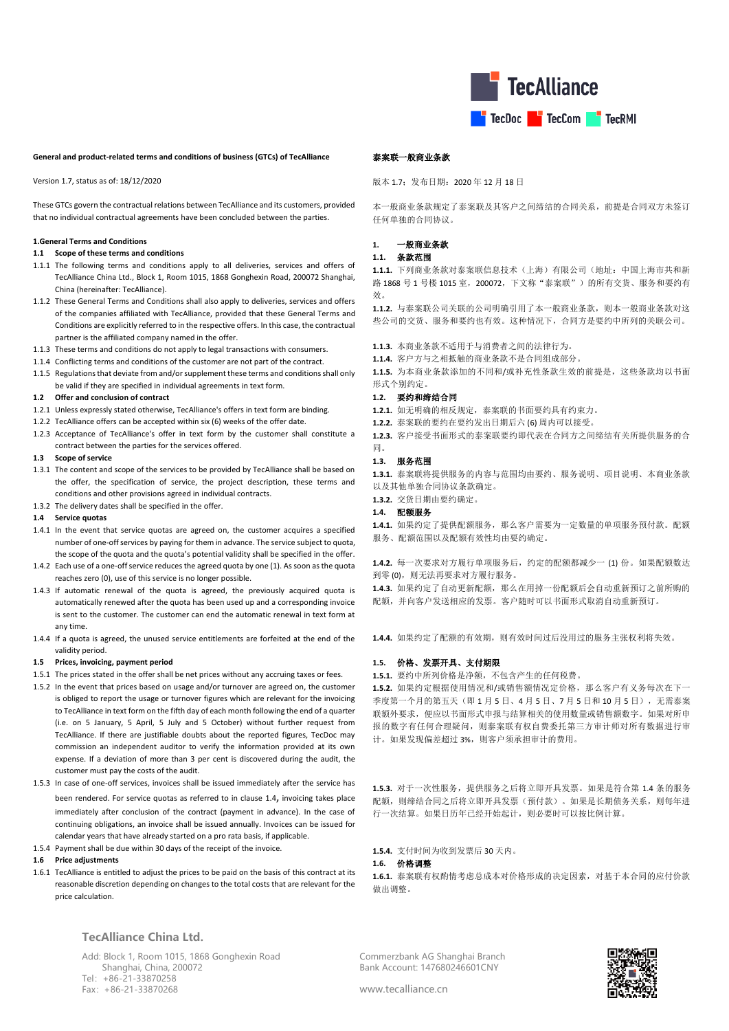

### **General and product-related terms and conditions of business (GTCs) of TecAlliance**

Version 1.7, status as of: 18/12/2020

These GTCs govern the contractual relations between TecAlliance and its customers, provided that no individual contractual agreements have been concluded between the parties.

### **1.General Terms and Conditions**

#### **1.1 Scope of these terms and conditions**

- 1.1.1 The following terms and conditions apply to all deliveries, services and offers of TecAlliance China Ltd., Block 1, Room 1015, 1868 Gonghexin Road, 200072 Shanghai, China (hereinafter: TecAlliance).
- <span id="page-0-1"></span>1.1.2 These General Terms and Conditions shall also apply to deliveries, services and offers of the companies affiliated with TecAlliance, provided that these General Terms and Conditions are explicitly referred to in the respective offers. In this case, the contractual partner is the affiliated company named in the offer.
- 1.1.3 These terms and conditions do not apply to legal transactions with consumers.
- 1.1.4 Conflicting terms and conditions of the customer are not part of the contract.
- 1.1.5 Regulations that deviate from and/or supplement these terms and conditions shall only be valid if they are specified in individual agreements in text form.

#### **1.2 Offer and conclusion of contract**

- 1.2.1 Unless expressly stated otherwise, TecAlliance's offers in text form are binding.
- 1.2.2 TecAlliance offers can be accepted within six (6) weeks of the offer date.
- 1.2.3 Acceptance of TecAlliance's offer in text form by the customer shall constitute a contract between the parties for the services offered.

### **1.3 Scope of service**

- 1.3.1 The content and scope of the services to be provided by TecAlliance shall be based on the offer, the specification of service, the project description, these terms and conditions and other provisions agreed in individual contracts.
- 1.3.2 The delivery dates shall be specified in the offer.

### <span id="page-0-0"></span>**1.4 Service quotas**

- 1.4.1 In the event that service quotas are agreed on, the customer acquires a specified number of one-off services by paying for them in advance. The service subject to quota, the scope of the quota and the quota's potential validity shall be specified in the offer.
- 1.4.2 Each use of a one-off service reduces the agreed quota by one (1). As soon as the quota reaches zero (0), use of this service is no longer possible.
- 1.4.3 If automatic renewal of the quota is agreed, the previously acquired quota is automatically renewed after the quota has been used up and a corresponding invoice is sent to the customer. The customer can end the automatic renewal in text form at any time.
- 1.4.4 If a quota is agreed, the unused service entitlements are forfeited at the end of the validity period.

### **1.5 Prices, invoicing, payment period**

- 1.5.1 The prices stated in the offer shall be net prices without any accruing taxes or fees.
- 1.5.2 In the event that prices based on usage and/or turnover are agreed on, the customer is obliged to report the usage or turnover figures which are relevant for the invoicing to TecAlliance in text form on the fifth day of each month following the end of a quarter (i.e. on 5 January, 5 April, 5 July and 5 October) without further request from TecAlliance. If there are justifiable doubts about the reported figures, TecDoc may commission an independent auditor to verify the information provided at its own expense. If a deviation of more than 3 per cent is discovered during the audit, the customer must pay the costs of the audit.
- 1.5.3 In case of one-off services, invoices shall be issued immediately after the service has been rendered. For service quotas as referred to in clause [1.4](#page-0-0), invoicing takes place immediately after conclusion of the contract (payment in advance). In the case of continuing obligations, an invoice shall be issued annually. Invoices can be issued for calendar years that have already started on a pro rata basis, if applicable.
- 1.5.4 Payment shall be due within 30 days of the receipt of the invoice.

### **1.6 Price adjustments**

1.6.1 TecAlliance is entitled to adjust the prices to be paid on the basis of this contract at its reasonable discretion depending on changes to the total costs that are relevant for the price calculation.

## **TecAlliance China Ltd.**

Add: Block 1, Room 1015, 1868 Gonghexin Road Shanghai, China, 200072 Tel:+86-21-33870258 Fax:+86-21-33870268

## 泰案联一般商业条款

版本 1.7;发布日期:2020 年 12 月 18 日

本一般商业条款规定了泰案联及其客户之间缔结的合同关系,前提是合同双方未签订 任何单独的合同协议。

### **1.** 一般商业条款

### **1.1.** 条款范围

**1.1.1.** 下列商业条款对泰案联信息技术(上海)有限公司(地址:中国上海市共和新 路 1868 号 1 号楼 1015 室,200072,下文称"泰案联")的所有交货、服务和要约有 效。

**1.1.2.** 与泰案联公司关联的公司明确引用了本一般商业条款,则本一般商业条款对这 些公司的交货、服务和要约也有效。这种情况下,合同方是要约中所列的关联公司。

- **1.1.3.** 本商业条款不适用于与消费者之间的法律行为。
- **1.1.4.** 客户方与之相抵触的商业条款不是合同组成部分。

**1.1.5.** 为本商业条款添加的不同和/或补充性条款生效的前提是,这些条款均以书面 形式个别约定。

## **1.2.** 要约和缔结合同

- **1.2.1.** 如无明确的相反规定,泰案联的书面要约具有约束力。
- **1.2.2.** 泰案联的要约在要约发出日期后六 (6) 周内可以接受。
- **1.2.3.** 客户接受书面形式的泰案联要约即代表在合同方之间缔结有关所提供服务的合 同。

## **1.3.** 服务范围

**1.3.1.** 泰案联将提供服务的内容与范围均由要约、服务说明、项目说明、本商业条款 以及其他单独合同协议条款确定。

**1.3.2.** 交货日期由要约确定。

## **1.4.** 配额服务

**1.4.1.** 如果约定了提供配额服务,那么客户需要为一定数量的单项服务预付款。配额 服务、配额范围以及配额有效性均由要约确定。

**1.4.2.** 每一次要求对方履行单项服务后,约定的配额都减少一 (1) 份。如果配额数达 到零 (0),则无法再要求对方履行服务。

**1.4.3.** 如果约定了自动更新配额,那么在用掉一份配额后会自动重新预订之前所购的 配额,并向客户发送相应的发票。客户随时可以书面形式取消自动重新预订。

**1.4.4.** 如果约定了配额的有效期,则有效时间过后没用过的服务主张权利将失效。

### **1.5.** 价格、发票开具、支付期限

**1.5.1.** 要约中所列价格是净额,不包含产生的任何税费。

**1.5.2.** 如果约定根据使用情况和/或销售额情况定价格,那么客户有义务每次在下一 季度第一个月的第五天(即1月5日、4月5日、7月5日和10月5日),无需泰案 联额外要求,便应以书面形式申报与结算相关的使用数量或销售额数字。如果对所申 报的数字有任何合理疑问,则泰案联有权自费委托第三方审计师对所有数据进行审 计。如果发现偏差超过 3%,则客户须承担审计的费用。

**1.5.3.** 对于一次性服务,提供服务之后将立即开具发票。如果是符合第 [1.4](#page-0-0) 条的服务 配额,则缔结合同之后将立即开具发票(预付款)。如果是长期债务关系,则每年进 行一次结算。如果日历年已经开始起计,则必要时可以按比例计算。

# **1.5.4.** 支付时间为收到发票后 30 天内。

# **1.6.** 价格调整

**1.6.1.** 泰案联有权酌情考虑总成本对价格形成的决定因素,对基于本合同的应付价款 做出调整。

Commerzbank AG Shanghai Branch Bank Account: 147680246601CNY

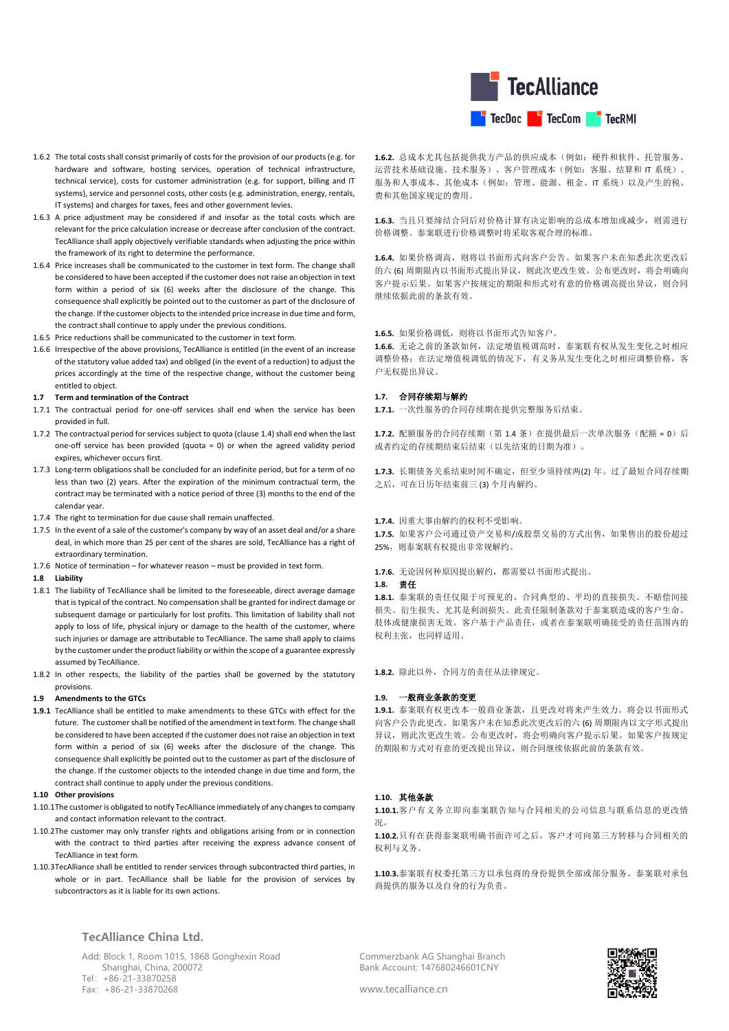

- 1.6.2 The total costs shall consist primarily of costs for the provision of our products (e.g. for hardware and software, hosting services, operation of technical infrastructure, technical service), costs for customer administration (e.g. for support, billing and IT systems), service and personnel costs, other costs (e.g. administration, energy, rentals, IT systems) and charges for taxes, fees and other government levies.
- 1.6.3 A price adjustment may be considered if and insofar as the total costs which are relevant for the price calculation increase or decrease after conclusion of the contract. TecAlliance shall apply objectively verifiable standards when adjusting the price within the framework of its right to determine the performance.
- 1.6.4 Price increases shall be communicated to the customer in text form. The change shall be considered to have been accepted if the customer does not raise an objection in text form within a period of six (6) weeks after the disclosure of the change. This consequence shall explicitly be pointed out to the customer as part of the disclosure of the change. If the customer objects to the intended price increase in due time and form, the contract shall continue to apply under the previous conditions.
- 1.6.5 Price reductions shall be communicated to the customer in text form.
- 1.6.6 Irrespective of the above provisions, TecAlliance is entitled (in the event of an increase of the statutory value added tax) and obliged (in the event of a reduction) to adjust the prices accordingly at the time of the respective change, without the customer being entitled to object.

#### **1.7 Term and termination of the Contract**

- 1.7.1 The contractual period for one-off services shall end when the service has been provided in full.
- 1.7.2 The contractual period for services subject to quota (claus[e 1.4\)](#page-0-0) shall end when the last one-off service has been provided (quota = 0) or when the agreed validity period expires, whichever occurs first.
- <span id="page-1-0"></span>1.7.3 Long-term obligations shall be concluded for an indefinite period, but for a term of no less than two (2) years. After the expiration of the minimum contractual term, the contract may be terminated with a notice period of three (3) months to the end of the calendar year.
- 1.7.4 The right to termination for due cause shall remain unaffected.
- 1.7.5 In the event of a sale of the customer's company by way of an asset deal and/or a share deal, in which more than 25 per cent of the shares are sold, TecAlliance has a right of extraordinary termination.
- 1.7.6 Notice of termination for whatever reason must be provided in text form.

### **1.8 Liability**

- 1.8.1 The liability of TecAlliance shall be limited to the foreseeable, direct average damage that is typical of the contract. No compensation shall be granted for indirect damage or subsequent damage or particularly for lost profits. This limitation of liability shall not apply to loss of life, physical injury or damage to the health of the customer, where such injuries or damage are attributable to TecAlliance. The same shall apply to claims by the customer under the product liability or within the scope of a guarantee expressly assumed by TecAlliance.
- 1.8.2 In other respects, the liability of the parties shall be governed by the statutory provisions.

#### **1.9 Amendments to the GTCs**

**1.9.1** TecAlliance shall be entitled to make amendments to these GTCs with effect for the future. The customer shall be notified of the amendment in text form. The change shall be considered to have been accepted if the customer does not raise an objection in text form within a period of six (6) weeks after the disclosure of the change. This consequence shall explicitly be pointed out to the customer as part of the disclosure of the change. If the customer objects to the intended change in due time and form, the contract shall continue to apply under the previous conditions.

### **1.10 Other provisions**

- 1.10.1The customer is obligated to notify TecAlliance immediately of any changes to company and contact information relevant to the contract.
- 1.10.2The customer may only transfer rights and obligations arising from or in connection with the contract to third parties after receiving the express advance consent of TecAlliance in text form.
- 1.10.3TecAlliance shall be entitled to render services through subcontracted third parties, in whole or in part. TecAlliance shall be liable for the provision of services by subcontractors as it is liable for its own actions.

## **TecAlliance China Ltd.**

Add: Block 1, Room 1015, 1868 Gonghexin Road Shanghai, China, 200072 Tel:+86-21-33870258 Fax:+86-21-33870268

**1.6.2.** 总成本尤其包括提供我方产品的供应成本(例如:硬件和软件、托管服务、 运营技术基础设施、技术服务)、客户管理成本(例如:客服、结算和 IT 系统)、 服务和人事成本、其他成本(例如: 管理、能源、租金、IT 系统)以及产生的税、 费和其他国家规定的费用。

**1.6.3.** 当且只要缔结合同后对价格计算有决定影响的总成本增加或减少,则需进行 价格调整。泰案联进行价格调整时将采取客观合理的标准。

**1.6.4.** 如果价格调高,则将以书面形式向客户公告。如果客户未在知悉此次更改后 的六 (6) 周期限内以书面形式提出异议,则此次更改生效。公布更改时,将会明确向 客户提示后果。如果客户按规定的期限和形式对有意的价格调高提出异议,则合同 继续依据此前的条款有效。

### 1.6.5. 如果价格调低, 则将以书面形式告知客户。

**1.6.6.** 无论之前的条款如何,法定增值税调高时,泰案联有权从发生变化之时相应 调整价格;在法定增值税调低的情况下,有义务从发生变化之时相应调整价格,客 户无权提出异议。

### **1.7.** 合同存续期与解约

**1.7.1.** 一次性服务的合同存续期在提供完整服务后结束。

**1.7.2.** 配额服务的合同存续期(第 [1.4](#page-0-0) 条)在提供最后一次单次服务(配额 = 0)后 或者约定的存续期结束后结束(以先结束的日期为准)。

**1.7.3.** 长期债务关系结束时间不确定,但至少须持续两(2) 年。过了最短合同存续期 之后,可在日历年结束前三 (3) 个月内解约。

**1.7.4.** 因重大事由解约的权利不受影响。

**1.7.5.** 如果客户公司通过资产交易和/或股票交易的方式出售,如果售出的股份超过 25%,则泰案联有权提出非常规解约。

## **1.7.6.** 无论因何种原因提出解约,都需要以书面形式提出。

## **1.8.** 责任

**1.8.1.** 泰案联的责任仅限于可预见的、合同典型的、平均的直接损失。不赔偿间接 损失、衍生损失、尤其是利润损失。此责任限制条款对于泰案联造成的客户生命、 肢体或健康损害无效。客户基于产品责任,或者在泰案联明确接受的责任范围内的 权利主张,也同样适用。

**1.8.2.** 除此以外,合同方的责任从法律规定。

#### **1.9.** 一般商业条款的变更

**1.9.1.** 泰案联有权更改本一般商业条款,且更改对将来产生效力。将会以书面形式 向客户公告此更改。如果客户未在知悉此次更改后的六 (6) 周期限内以文字形式提出 异议,则此次更改生效。公布更改时,将会明确向客户提示后果。如果客户按规定 的期限和方式对有意的更改提出异议,则合同继续依据此前的条款有效。

## **1.10.** 其他条款

**1.10.1.**客户有义务立即向泰案联告知与合同相关的公司信息与联系信息的更改情 况。

**1.10.2.**只有在获得泰案联明确书面许可之后,客户才可向第三方转移与合同相关的 权利与义务。

**1.10.3.**泰案联有权委托第三方以承包商的身份提供全部或部分服务。泰案联对承包 商提供的服务以及自身的行为负责。

Commerzbank AG Shanghai Branch Bank Account: 147680246601CNY

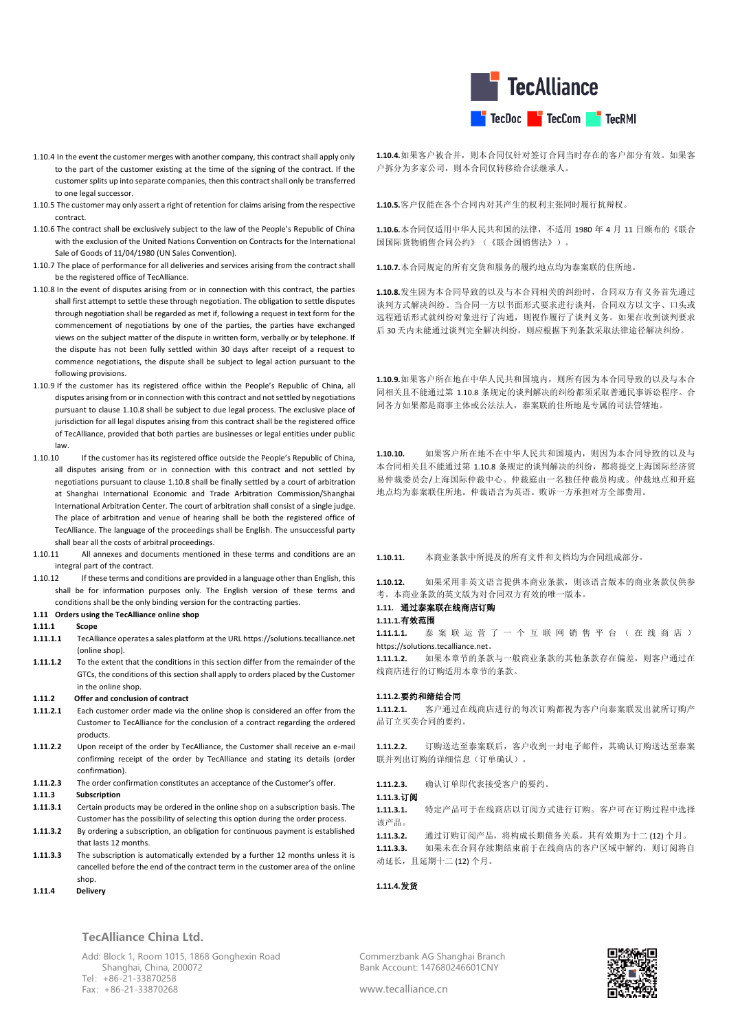

- 1.10.4 In the event the customer merges with another company, this contract shall apply only to the part of the customer existing at the time of the signing of the contract. If the customer splits up into separate companies, then this contract shall only be transferred to one legal successor.
- 1.10.5 The customer may only assert a right of retention for claims arising from the respective contract.
- 1.10.6 The contract shall be exclusively subject to the law of the People's Republic of China with the exclusion of the United Nations Convention on Contracts for the International Sale of Goods of 11/04/1980 (UN Sales Convention).
- 1.10.7 The place of performance for all deliveries and services arising from the contract shall be the registered office of TecAlliance.
- <span id="page-2-0"></span>1.10.8 In the event of disputes arising from or in connection with this contract, the parties shall first attempt to settle these through negotiation. The obligation to settle disputes through negotiation shall be regarded as met if, following a request in text form for the commencement of negotiations by one of the parties, the parties have exchanged views on the subject matter of the dispute in written form, verbally or by telephone. If the dispute has not been fully settled within 30 days after receipt of a request to commence negotiations, the dispute shall be subject to legal action pursuant to the following provisions.
- 1.10.9 If the customer has its registered office within the People's Republic of China, all disputes arising from or in connection with this contract and not settled by negotiations pursuant to claus[e 1.10.8](#page-2-0) shall be subject to due legal process. The exclusive place of jurisdiction for all legal disputes arising from this contract shall be the registered office of TecAlliance, provided that both parties are businesses or legal entities under public law.
- 1.10.10 If the customer has its registered office outside the People's Republic of China, all disputes arising from or in connection with this contract and not settled by negotiations pursuant to claus[e 1.10.8](#page-2-0) shall be finally settled by a court of arbitration at Shanghai International Economic and Trade Arbitration Commission/Shanghai International Arbitration Center. The court of arbitration shall consist of a single judge. The place of arbitration and venue of hearing shall be both the registered office of TecAlliance. The language of the proceedings shall be English. The unsuccessful party shall bear all the costs of arbitral proceedings.
- 1.10.11 All annexes and documents mentioned in these terms and conditions are an integral part of the contract.
- 1.10.12 If these terms and conditions are provided in a language other than English, this shall be for information purposes only. The English version of these terms and conditions shall be the only binding version for the contracting parties.

### **1.11 Orders using the TecAlliance online shop**

## **1.11.1 Scope**

- **1.11.1.1** TecAlliance operates a sales platform at the URL https://solutions.tecalliance.net (online shop).
- **1.11.1.2** To the extent that the conditions in this section differ from the remainder of the GTCs, the conditions of this section shall apply to orders placed by the Customer in the online shop.

### **1.11.2 Offer and conclusion of contract**

- **1.11.2.1** Each customer order made via the online shop is considered an offer from the Customer to TecAlliance for the conclusion of a contract regarding the ordered products.
- **1.11.2.2** Upon receipt of the order by TecAlliance, the Customer shall receive an e-mail confirming receipt of the order by TecAlliance and stating its details (order confirmation).
- **1.11.2.3** The order confirmation constitutes an acceptance of the Customer's offer.

## **1.11.3 Subscription**

- **1.11.3.1** Certain products may be ordered in the online shop on a subscription basis. The Customer has the possibility of selecting this option during the order process.
- **1.11.3.2** By ordering a subscription, an obligation for continuous payment is established that lasts 12 months
- **1.11.3.3** The subscription is automatically extended by a further 12 months unless it is cancelled before the end of the contract term in the customer area of the online shop.
- **1.11.4 Delivery**

# **TecAlliance China Ltd.**

Add: Block 1, Room 1015, 1868 Gonghexin Road Shanghai, China, 200072 Tel:+86-21-33870258 Fax:+86-21-33870268

**1.10.4.**如果客户被合并,则本合同仅针对签订合同当时存在的客户部分有效。如果客 户拆分为多家公司,则本合同仅转移给合法继承人。

**1.10.5.**客户仅能在各个合同内对其产生的权利主张同时履行抗辩权。

**1.10.6.**本合同仅适用中华人民共和国的法律,不适用 1980 年 4 月 11 日颁布的《联合 国国际货物销售合同公约》(《联合国销售法》)。

**1.10.7.**本合同规定的所有交货和服务的履约地点均为泰案联的住所地。

**1.10.8.**发生因为本合同导致的以及与本合同相关的纠纷时,合同双方有义务首先通过 谈判方式解决纠纷。当合同一方以书面形式要求进行谈判,合同双方以文字、口头或 远程通话形式就纠纷对象进行了沟通,则视作履行了谈判义务。如果在收到谈判要求 后 30 天内未能通过谈判完全解决纠纷,则应根据下列条款采取法律途径解决纠纷。

**1.10.9.**如果客户所在地在中华人民共和国境内,则所有因为本合同导致的以及与本合 同相关且不能通过第 [1.10.8](#page-2-0) 条规定的谈判解决的纠纷都须采取普通民事诉讼程序。合 同各方如果都是商事主体或公法法人,泰案联的住所地是专属的司法管辖地。

**1.10.10.** 如果客户所在地不在中华人民共和国境内,则因为本合同导致的以及与 本合同相关且不能通过第 [1.10.8](#page-2-0) 条规定的谈判解决的纠纷,都将提交上海国际经济贸 易仲裁委员会/上海国际仲裁中心。仲裁庭由一名独任仲裁员构成。仲裁地点和开庭 地点均为泰案联住所地。仲裁语言为英语。败诉一方承担对方全部费用。

**1.10.11.** 本商业条款中所提及的所有文件和文档均为合同组成部分。

**1.10.12.** 如果采用非英文语言提供本商业条款,则该语言版本的商业条款仅供参 考。本商业条款的英文版为对合同双方有效的唯一版本。

## **1.11.** 通过泰案联在线商店订购

### **1.11.1.**有效范围

**1.11.1.1.** 泰 案 联 运 营 了 一 个 互 联 网 销 售 平 台 ( 在 线 商 店 ) https://solutions.tecalliance.net。

**1.11.1.2.** 如果本章节的条款与一般商业条款的其他条款存在偏差,则客户通过在 线商店进行的订购适用本章节的条款。

### **1.11.2.**要约和缔结合同

**1.11.2.1.** 客户通过在线商店进行的每次订购都视为客户向泰案联发出就所订购产 品订立买卖合同的要约。

**1.11.2.2.** 订购送达至泰案联后,客户收到一封电子邮件,其确认订购送达至泰案 联并列出订购的详细信息(订单确认)。

**1.11.2.3.** 确认订单即代表接受客户的要约。

### **1.11.3.**订阅

**1.11.3.1.** 特定产品可于在线商店以订阅方式进行订购。客户可在订购过程中选择 该产品。

**1.11.3.2.** 通过订购订阅产品,将构成长期债务关系,其有效期为十二 (12) 个月。

**1.11.3.3.** 如果未在合同存续期结束前于在线商店的客户区域中解约,则订阅将自 动延长, 日延期十二 (12) 个月。

### **1.11.4.**发货

Commerzbank AG Shanghai Branch Bank Account: 147680246601CNY

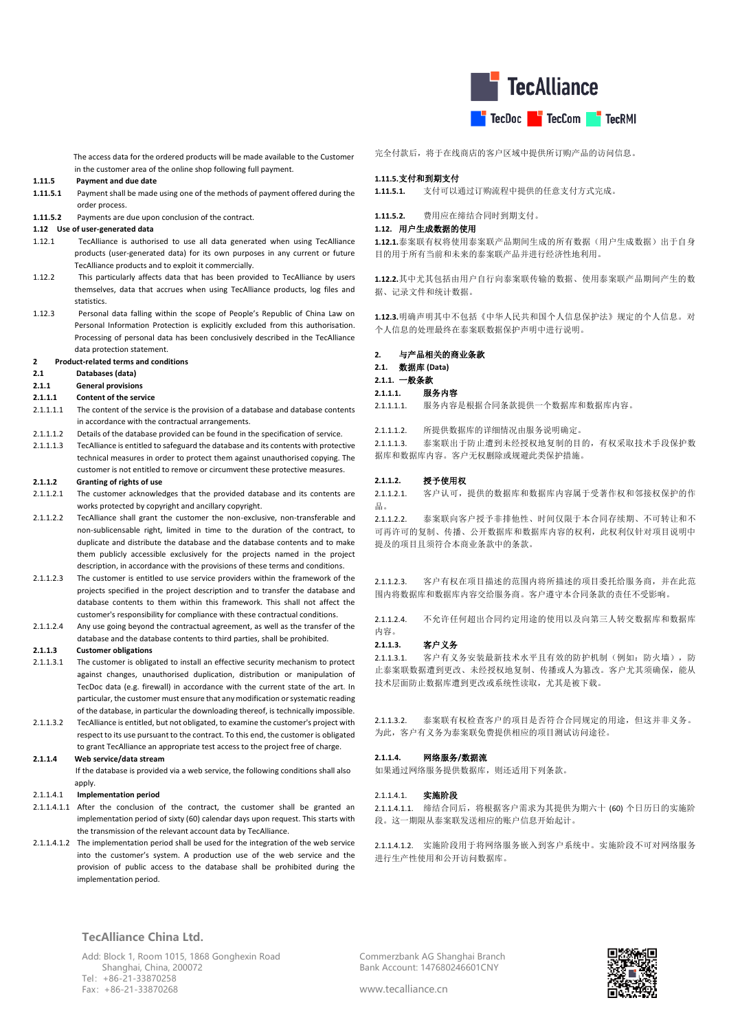

 The access data for the ordered products will be made available to the Customer in the customer area of the online shop following full payment.

### **1.11.5 Payment and due date**

**1.11.5.1** Payment shall be made using one of the methods of payment offered during the order process.

**1.11.5.2** Payments are due upon conclusion of the contract.

### **1.12 Use of user-generated data**

- 1.12.1 TecAlliance is authorised to use all data generated when using TecAlliance products (user-generated data) for its own purposes in any current or future TecAlliance products and to exploit it commercially.
- 1.12.2 This particularly affects data that has been provided to TecAlliance by users themselves, data that accrues when using TecAlliance products, log files and statistics.
- 1.12.3 Personal data falling within the scope of People's Republic of China Law on Personal Information Protection is explicitly excluded from this authorisation. Processing of personal data has been conclusively described in the TecAlliance data protection statement.

### **2 Product-related terms and conditions**

#### **2.1 Databases (data)**

**2.1.1 General provisions**

#### **2.1.1.1 Content of the service**

- 2.1.1.1.1 The content of the service is the provision of a database and database contents in accordance with the contractual arrangements.
- 2.1.1.1.2 Details of the database provided can be found in the specification of service.
- 2.1.1.1.3 TecAlliance is entitled to safeguard the database and its contents with protective technical measures in order to protect them against unauthorised copying. The customer is not entitled to remove or circumvent these protective measures.

### **2.1.1.2 Granting of rights of use**

- 2.1.1.2.1 The customer acknowledges that the provided database and its contents are works protected by copyright and ancillary copyright.
- 2.1.1.2.2 TecAlliance shall grant the customer the non-exclusive, non-transferable and non-sublicensable right, limited in time to the duration of the contract, to duplicate and distribute the database and the database contents and to make them publicly accessible exclusively for the projects named in the project description, in accordance with the provisions of these terms and conditions.
- 2.1.1.2.3 The customer is entitled to use service providers within the framework of the projects specified in the project description and to transfer the database and database contents to them within this framework. This shall not affect the customer's responsibility for compliance with these contractual conditions.
- 2.1.1.2.4 Any use going beyond the contractual agreement, as well as the transfer of the database and the database contents to third parties, shall be prohibited.

### **2.1.1.3 Customer obligations**

- 2.1.1.3.1 The customer is obligated to install an effective security mechanism to protect against changes, unauthorised duplication, distribution or manipulation of TecDoc data (e.g. firewall) in accordance with the current state of the art. In particular, the customer must ensure that any modification or systematic reading of the database, in particular the downloading thereof, is technically impossible.
- 2.1.1.3.2 TecAlliance is entitled, but not obligated, to examine the customer's project with respect to its use pursuant to the contract. To this end, the customer is obligated to grant TecAlliance an appropriate test access to the project free of charge.

### **2.1.1.4 Web service/data stream**

 If the database is provided via a web service, the following conditions shall also apply.

### 2.1.1.4.1 **Implementation period**

- 2.1.1.4.1.1 After the conclusion of the contract, the customer shall be granted an implementation period of sixty (60) calendar days upon request. This starts with the transmission of the relevant account data by TecAlliance.
- 2.1.1.4.1.2 The implementation period shall be used for the integration of the web service into the customer's system. A production use of the web service and the provision of public access to the database shall be prohibited during the implementation period.

## 完全付款后,将于在线商店的客户区域中提供所订购产品的访问信息。

### **1.11.5.**支付和到期支付

**1.11.5.1.** 支付可以通过订购流程中提供的任意支付方式完成。

**1.11.5.2.** 费用应在缔结合同时到期支付。

### **1.12.** 用户生成数据的使用

**1.12.1.**泰案联有权将使用泰案联产品期间生成的所有数据(用户生成数据)出于自身 目的用于所有当前和未来的泰案联产品并进行经济性地利用。

**1.12.2.**其中尤其包括由用户自行向泰案联传输的数据、使用泰案联产品期间产生的数 据、记录文件和统计数据。

**1.12.3.**明确声明其中不包括《中华人民共和国个人信息保护法》规定的个人信息。对 个人信息的处理最终在泰案联数据保护声明中进行说明。

### **2.** 与产品相关的商业条款

### **2.1.** 数据库 **(Data)**

**2.1.1.** 一般条款

#### **2.1.1.1.** 服务内容

- 2.1.1.1.1. 服务内容是根据合同条款提供一个数据库和数据库内容。
- 2.1.1.1.2. 所提供数据库的详细情况由服务说明确定。

2.1.1.1.3. 泰案联出于防止遭到未经授权地复制的目的,有权采取技术手段保护数 据库和数据库内容。客户无权删除或规避此类保护措施。

### **2.1.1.2.** 授予使用权

2.1.1.2.1. 客户认可,提供的数据库和数据库内容属于受著作权和邻接权保护的作 品。

2.1.1.2.2. 泰案联向客户授予非排他性、时间仅限于本合同存续期、不可转让和不 可再许可的复制、传播、公开数据库和数据库内容的权利,此权利仅针对项目说明中 提及的项目且须符合本商业条款中的条款。

2.1.1.2.3. 客户有权在项目描述的范围内将所描述的项目委托给服务商,并在此范 围内将数据库和数据库内容交给服务商。客户遵守本合同条款的责任不受影响。

2.1.1.2.4. 不允许任何超出合同约定用途的使用以及向第三人转交数据库和数据库 内容。

#### **2.1.1.3.** 客户义务

2.1.1.3.1. 客户有义务安装最新技术水平且有效的防护机制(例如:防火墙),防 止泰案联数据遭到更改、未经授权地复制、传播或人为篡改。客户尤其须确保,能从 技术层面防止数据库遭到更改或系统性读取,尤其是被下载。

2.1.1.3.2. 泰案联有权检查客户的项目是否符合合同规定的用途,但这并非义务。 为此,客户有义务为泰案联免费提供相应的项目测试访问途径。

### **2.1.1.4.** 网络服务**/**数据流

如果通过网络服务提供数据库,则还适用下列条款。

#### 2.1.1.4.1 实施阶段

2.1.1.4.1.1. 缔结合同后,将根据客户需求为其提供为期六十 (60) 个日历日的实施阶 段。这一期限从泰案联发送相应的账户信息开始起计。

2.1.1.4.1.2. 实施阶段用于将网络服务嵌入到客户系统中。实施阶段不可对网络服务 进行生产性使用和公开访问数据库。

## **TecAlliance China Ltd.**

Add: Block 1, Room 1015, 1868 Gonghexin Road Shanghai, China, 200072 Tel:+86-21-33870258 Fax:+86-21-33870268

Commerzbank AG Shanghai Branch Bank Account: 147680246601CNY

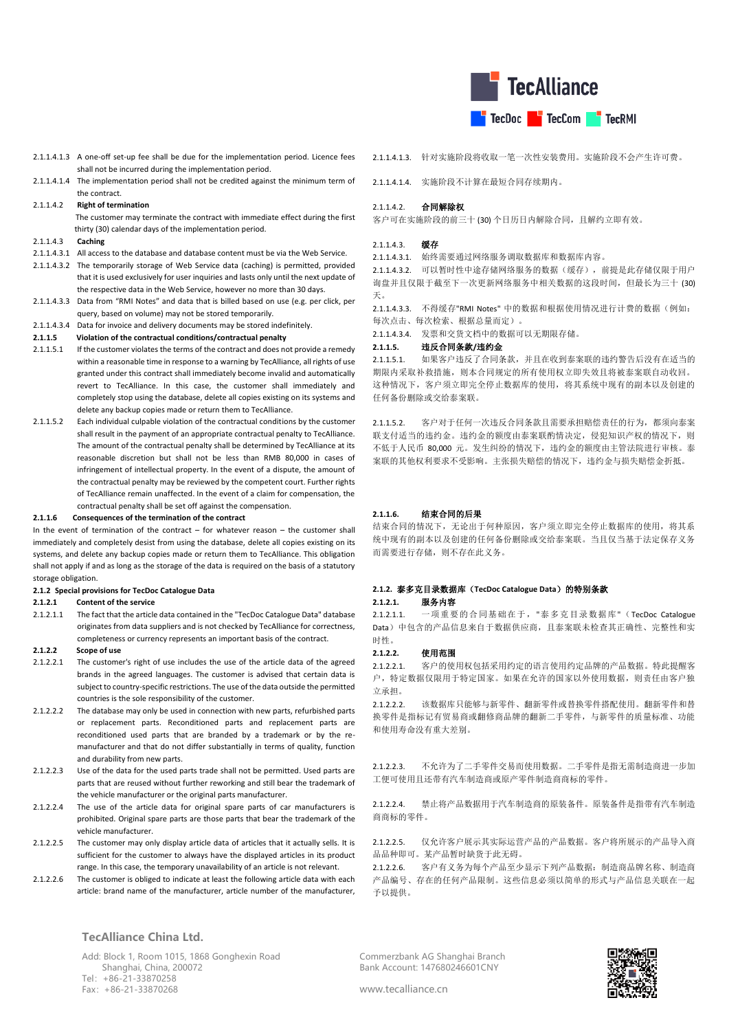

- 2.1.1.4.1.3 A one-off set-up fee shall be due for the implementation period. Licence fees shall not be incurred during the implementation period.
- 2.1.1.4.1.4 The implementation period shall not be credited against the minimum term of the contract.
- 2.1.1.4.2 **Right of termination**

 The customer may terminate the contract with immediate effect during the first thirty (30) calendar days of the implementation period.

- 2.1.1.4.3 **Caching**
- 2.1.1.4.3.1 All access to the database and database content must be via the Web Service.
- 2.1.1.4.3.2 The temporarily storage of Web Service data (caching) is permitted, provided that it is used exclusively for user inquiries and lasts only until the next update of the respective data in the Web Service, however no more than 30 days.
- 2.1.1.4.3.3 Data from "RMI Notes" and data that is billed based on use (e.g. per click, per query, based on volume) may not be stored temporarily.
- 2.1.1.4.3.4 Data for invoice and delivery documents may be stored indefinitely.
- **2.1.1.5 Violation of the contractual conditions/contractual penalty**
- 2.1.1.5.1 If the customer violates the terms of the contract and does not provide a remedy within a reasonable time in response to a warning by TecAlliance, all rights of use granted under this contract shall immediately become invalid and automatically revert to TecAlliance. In this case, the customer shall immediately and completely stop using the database, delete all copies existing on its systems and delete any backup copies made or return them to TecAlliance.
- 2.1.1.5.2 Each individual culpable violation of the contractual conditions by the customer shall result in the payment of an appropriate contractual penalty to TecAlliance. The amount of the contractual penalty shall be determined by TecAlliance at its reasonable discretion but shall not be less than RMB 80,000 in cases of infringement of intellectual property. In the event of a dispute, the amount of the contractual penalty may be reviewed by the competent court. Further rights of TecAlliance remain unaffected. In the event of a claim for compensation, the contractual penalty shall be set off against the compensation.

#### **2.1.1.6 Consequences of the termination of the contract**

In the event of termination of the contract  $-$  for whatever reason  $-$  the customer shall immediately and completely desist from using the database, delete all copies existing on its systems, and delete any backup copies made or return them to TecAlliance. This obligation shall not apply if and as long as the storage of the data is required on the basis of a statutory storage obligation.

#### **2.1.2 Special provisions for TecDoc Catalogue Data**

### **2.1.2.1 Content of the service**

2.1.2.1.1 The fact that the article data contained in the "TecDoc Catalogue Data" database originates from data suppliers and is not checked by TecAlliance for correctness, completeness or currency represents an important basis of the contract.

### **2.1.2.2 Scope of use**

- 2.1.2.2.1 The customer's right of use includes the use of the article data of the agreed brands in the agreed languages. The customer is advised that certain data is subject to country-specific restrictions. The use of the data outside the permitted countries is the sole responsibility of the customer.
- 2.1.2.2.2 The database may only be used in connection with new parts, refurbished parts or replacement parts. Reconditioned parts and replacement parts are reconditioned used parts that are branded by a trademark or by the remanufacturer and that do not differ substantially in terms of quality, function and durability from new parts.
- 2.1.2.2.3 Use of the data for the used parts trade shall not be permitted. Used parts are parts that are reused without further reworking and still bear the trademark of the vehicle manufacturer or the original parts manufacturer.
- 2.1.2.2.4 The use of the article data for original spare parts of car manufacturers is prohibited. Original spare parts are those parts that bear the trademark of the vehicle manufacturer.
- 2.1.2.2.5 The customer may only display article data of articles that it actually sells. It is sufficient for the customer to always have the displayed articles in its product range. In this case, the temporary unavailability of an article is not relevant.
- 2.1.2.2.6 The customer is obliged to indicate at least the following article data with each article: brand name of the manufacturer, article number of the manufacturer,

### 2.1.1.4.1.3. 针对实施阶段将收取一笔一次性安装费用。实施阶段不会产生许可费。

2.1.1.4.1.4. 实施阶段不计算在最短合同存续期内。

### 2.1.1.4.2. 合同解除权

客户可在实施阶段的前三十 (30) 个日历日内解除合同,且解约立即有效。

## 2.1.1.4.3. 缓存

2.1.1.4.3.1. 始终需要通过网络服务调取数据库和数据库内容。

2.1.1.4.3.2. 可以暂时性中途存储网络服务的数据(缓存),前提是此存储仅限于用户 询盘并且仅限于截至下一次更新网络服务中相关数据的这段时间,但最长为三十 (30) 天。

2.1.1.4.3.3. 不得缓存"RMI Notes" 中的数据和根据使用情况进行计费的数据(例如: 每次点击、每次检索、根据总量而定)。

2.1.1.4.3.4. 发票和交货文档中的数据可以无期限存储。

## **2.1.1.5.** 违反合同条款**/**违约金

2.1.1.5.1. 如果客户违反了合同条款,并且在收到泰案联的违约警告后没有在适当的 期限内采取补救措施,则本合同规定的所有使用权立即失效且将被泰案联自动收回。 这种情况下,客户须立即完全停止数据库的使用,将其系统中现有的副本以及创建的 任何备份删除或交给泰案联。

2.1.1.5.2. 客户对于任何一次违反合同条款且需要承担赔偿责任的行为,都须向泰案 联支付适当的违约金。违约金的额度由泰案联酌情决定,侵犯知识产权的情况下,则 不低于人民币 80,000 元。发生纠纷的情况下,违约金的额度由主管法院进行审核。泰 案联的其他权利要求不受影响。主张损失赔偿的情况下,违约金与损失赔偿金折抵。

#### **2.1.1.6.** 结束合同的后果

结束合同的情况下,无论出于何种原因,客户须立即完全停止数据库的使用,将其系 统中现有的副本以及创建的任何备份删除或交给泰案联。当且仅当基于法定保存义务 而需要进行存储,则不存在此义务。

## **2.1.2.** 泰多克目录数据库(**TecDoc Catalogue Data**)的特别条款

## **2.1.2.1.** 服务内容

2.1.2.1.1. 一项重要的合同基础在于,"泰多克目录数据库"(TecDoc Catalogue Data)中包含的产品信息来自于数据供应商,且泰案联未检查其正确性、完整性和实 时性。

### 2.1.2.2.  **伸**用范围

2.1.2.2.1. 客户的使用权包括采用约定的语言使用约定品牌的产品数据。特此提醒客 户,特定数据仅限用于特定国家。如果在允许的国家以外使用数据,则责任由客户独 立承担。

2.1.2.2.2. 该数据库只能够与新零件、翻新零件或替换零件搭配使用。翻新零件和替 换零件是指标记有贸易商或翻修商品牌的翻新二手零件,与新零件的质量标准、功能 和使用寿命没有重大差别。

2.1.2.2.3. 不允许为了二手零件交易而使用数据。二手零件是指无需制造商进一步加 工便可使用且还带有汽车制造商或原产零件制造商商标的零件。

2.1.2.2.4. 禁止将产品数据用于汽车制造商的原装备件。原装备件是指带有汽车制造 商商标的零件。

2.1.2.2.5. 仅允许客户展示其实际运营产品的产品数据。客户将所展示的产品导入商 品品种即可。某产品暂时缺货于此无碍。

2.1.2.2.6. 客户有义务为每个产品至少显示下列产品数据:制造商品牌名称、制造商 产品编号、存在的任何产品限制。这些信息必须以简单的形式与产品信息关联在一起 予以提供。

## **TecAlliance China Ltd.**

Add: Block 1, Room 1015, 1868 Gonghexin Road Shanghai, China, 200072 Tel:+86-21-33870258 Fax:+86-21-33870268

Commerzbank AG Shanghai Branch Bank Account: 147680246601CNY

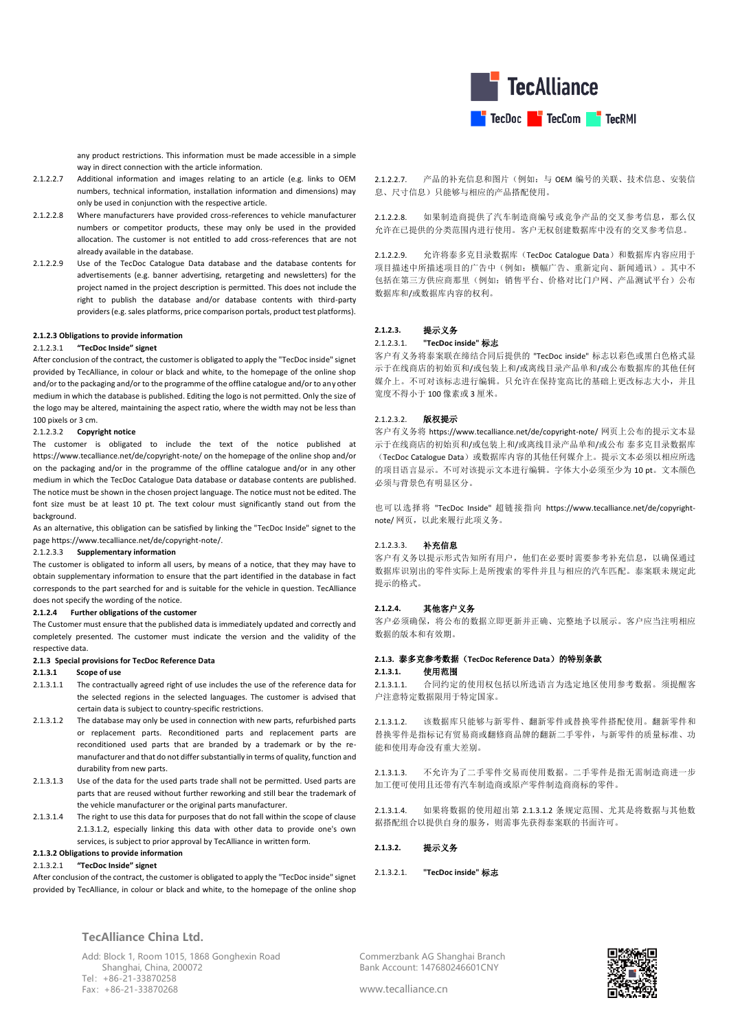

any product restrictions. This information must be made accessible in a simple way in direct connection with the article information.

- 2.1.2.2.7 Additional information and images relating to an article (e.g. links to OEM numbers, technical information, installation information and dimensions) may only be used in conjunction with the respective article.
- 2.1.2.2.8 Where manufacturers have provided cross-references to vehicle manufacturer numbers or competitor products, these may only be used in the provided allocation. The customer is not entitled to add cross-references that are not already available in the database.
- 2.1.2.2.9 Use of the TecDoc Catalogue Data database and the database contents for advertisements (e.g. banner advertising, retargeting and newsletters) for the project named in the project description is permitted. This does not include the right to publish the database and/or database contents with third-party providers (e.g. sales platforms, price comparison portals, product test platforms).

### **2.1.2.3 Obligations to provide information**

## 2.1.2.3.1 **"TecDoc Inside" signet**

After conclusion of the contract, the customer is obligated to apply the "TecDoc inside" signet provided by TecAlliance, in colour or black and white, to the homepage of the online shop and/or to the packaging and/or to the programme of the offline catalogue and/or to any other medium in which the database is published. Editing the logo is not permitted. Only the size of the logo may be altered, maintaining the aspect ratio, where the width may not be less than 100 pixels or 3 cm.

## 2.1.2.3.2 **Copyright notice**

The customer is obligated to include the text of the notice published at https://www.tecalliance.net/de/copyright-note/ on the homepage of the online shop and/or on the packaging and/or in the programme of the offline catalogue and/or in any other medium in which the TecDoc Catalogue Data database or database contents are published. The notice must be shown in the chosen project language. The notice must not be edited. The font size must be at least 10 pt. The text colour must significantly stand out from the background.

As an alternative, this obligation can be satisfied by linking the "TecDoc Inside" signet to the page https://www.tecalliance.net/de/copyright-note/.

### 2.1.2.3.3 **Supplementary information**

The customer is obligated to inform all users, by means of a notice, that they may have to obtain supplementary information to ensure that the part identified in the database in fact corresponds to the part searched for and is suitable for the vehicle in question. TecAlliance does not specify the wording of the notice.

### **2.1.2.4 Further obligations of the customer**

The Customer must ensure that the published data is immediately updated and correctly and completely presented. The customer must indicate the version and the validity of the respective data.

### **2.1.3 Special provisions for TecDoc Reference Data**

### **2.1.3.1 Scope of use**

- 2.1.3.1.1 The contractually agreed right of use includes the use of the reference data for the selected regions in the selected languages. The customer is advised that certain data is subject to country-specific restrictions.
- 2.1.3.1.2 The database may only be used in connection with new parts, refurbished parts or replacement parts. Reconditioned parts and replacement parts are reconditioned used parts that are branded by a trademark or by the remanufacturer and that do not differ substantially in terms of quality, function and durability from new parts.
- 2.1.3.1.3 Use of the data for the used parts trade shall not be permitted. Used parts are parts that are reused without further reworking and still bear the trademark of the vehicle manufacturer or the original parts manufacturer.
- 2.1.3.1.4 The right to use this data for purposes that do not fall within the scope of clause 2.1.3.1.2, especially linking this data with other data to provide one's own services, is subject to prior approval by TecAlliance in written form.

### **2.1.3.2 Obligations to provide information**

### 2.1.3.2.1 **"TecDoc Inside" signet**

After conclusion of the contract, the customer is obligated to apply the "TecDoc inside" signet provided by TecAlliance, in colour or black and white, to the homepage of the online shop

**TecAlliance China Ltd.**

Add: Block 1, Room 1015, 1868 Gonghexin Road Shanghai, China, 200072 Tel:+86-21-33870258 Fax:+86-21-33870268

2.1.2.2.7. 产品的补充信息和图片(例如:与 OEM 编号的关联、技术信息、安装信 息、尺寸信息)只能够与相应的产品搭配使用。

2.1.2.2.8. 如果制造商提供了汽车制造商编号或竞争产品的交叉参考信息,那么仅 允许在已提供的分类范围内进行使用。客户无权创建数据库中没有的交叉参考信息。

2.1.2.2.9. 允许将泰多克目录数据库(TecDoc Catalogue Data)和数据库内容应用于 项目描述中所描述项目的广告中(例如:横幅广告、重新定向、新闻通讯)。其中不 包括在第三方供应商那里(例如:销售平台、价格对比门户网、产品测试平台)公布 数据库和/或数据库内容的权利。

### **2.1.2.3.** 提示义务

## 2.1.2.3.1. **"TecDoc inside"** 标志

客户有义务将泰案联在缔结合同后提供的 "TecDoc inside" 标志以彩色或黑白色格式显 示于在线商店的初始页和/或包装上和/或离线目录产品单和/或公布数据库的其他任何 媒介上。不可对该标志进行编辑。只允许在保持宽高比的基础上更改标志大小,并且 宽度不得小于 100 像素或 3 厘米。

### 2.1.2.3.2. 版权提示

客户有义务将 https://www.tecalliance.net/de/copyright-note/ 网页上公布的提示文本显 示于在线商店的初始页和/或包装上和/或离线目录产品单和/或公布 泰多克目录数据库 (TecDoc Catalogue Data)或数据库内容的其他任何媒介上。提示文本必须以相应所选 的项目语言显示。不可对该提示文本进行编辑。字体大小必须至少为 10 pt。文本颜色 必须与背景色有明显区分。

也可以选择将 "TecDoc Inside" 超链接指向 https://www.tecalliance.net/de/copyrightnote/ 网页。以此来履行此项义务。

### 2.1.2.3.3. 补充信息

客户有义务以提示形式告知所有用户,他们在必要时需要参考补充信息,以确保通过 数据库识别出的零件实际上是所搜索的零件并且与相应的汽车匹配。泰案联未规定此 提示的格式。

### **2.1.2.4.** 其他客户义务

客户必须确保,将公布的数据立即更新并正确、完整地予以展示。客户应当注明相应 数据的版本和有效期。

### **2.1.3.** 泰多克参考数据(**TecDoc Reference Data**)的特别条款

#### **2.1.3.1.** 使用范围

2.1.3.1.1. 合同约定的使用权包括以所选语言为选定地区使用参考数据。须提醒客 户注意特定数据限用于特定国家。

2.1.3.1.2. 该数据库只能够与新零件、翻新零件或替换零件搭配使用。翻新零件和 替换零件是指标记有贸易商或翻修商品牌的翻新二手零件,与新零件的质量标准、功 能和使用寿命没有重大差别。

2.1.3.1.3. 不允许为了二手零件交易而使用数据。二手零件是指无需制造商进一步 加工便可使用且还带有汽车制造商或原产零件制造商商标的零件。

2.1.3.1.4. 如果将数据的使用超出第 2.1.3.1.2 条规定范围、尤其是将数据与其他数 据搭配组合以提供自身的服务,则需事先获得泰案联的书面许可。

**2.1.3.2.** 提示义务

2.1.3.2.1. **"TecDoc inside"** 标志

Commerzbank AG Shanghai Branch Bank Account: 147680246601CNY

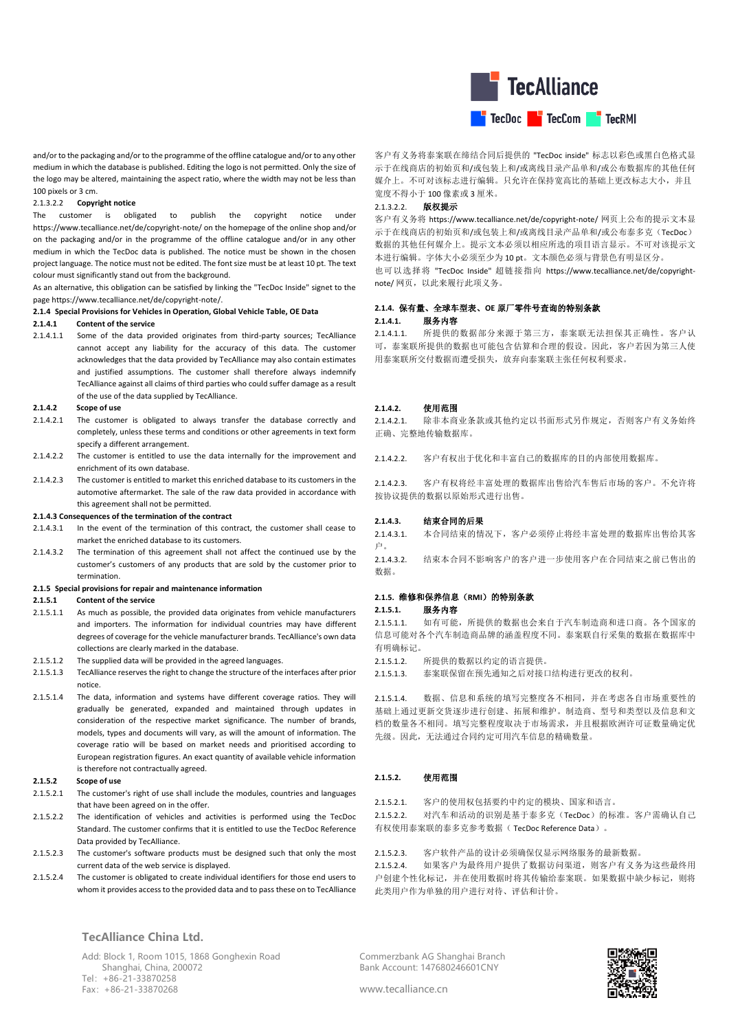

and/or to the packaging and/or to the programme of the offline catalogue and/or to any other medium in which the database is published. Editing the logo is not permitted. Only the size of the logo may be altered, maintaining the aspect ratio, where the width may not be less than 100 pixels or 3 cm.

### 2.1.3.2.2 **Copyright notice**

The customer is obligated to publish the copyright notice under https://www.tecalliance.net/de/copyright-note/ on the homepage of the online shop and/or on the packaging and/or in the programme of the offline catalogue and/or in any other medium in which the TecDoc data is published. The notice must be shown in the chosen project language. The notice must not be edited. The font size must be at least 10 pt. The text colour must significantly stand out from the background.

As an alternative, this obligation can be satisfied by linking the "TecDoc Inside" signet to the page https://www.tecalliance.net/de/copyright-note/.

#### **2.1.4 Special Provisions for Vehicles in Operation, Global Vehicle Table, OE Data**

### **2.1.4.1 Content of the service**

2.1.4.1.1 Some of the data provided originates from third-party sources; TecAlliance cannot accept any liability for the accuracy of this data. The customer acknowledges that the data provided by TecAlliance may also contain estimates and justified assumptions. The customer shall therefore always indemnify TecAlliance against all claims of third parties who could suffer damage as a result of the use of the data supplied by TecAlliance.

#### **2.1.4.2 Scope of use**

- 2.1.4.2.1 The customer is obligated to always transfer the database correctly and completely, unless these terms and conditions or other agreements in text form specify a different arrangement.
- 2.1.4.2.2 The customer is entitled to use the data internally for the improvement and enrichment of its own database.
- 2.1.4.2.3 The customer is entitled to market this enriched database to its customers in the automotive aftermarket. The sale of the raw data provided in accordance with this agreement shall not be permitted.

### **2.1.4.3 Consequences of the termination of the contract**

- 2.1.4.3.1 In the event of the termination of this contract, the customer shall cease to market the enriched database to its customers.
- 2.1.4.3.2 The termination of this agreement shall not affect the continued use by the customer's customers of any products that are sold by the customer prior to termination.

## **2.1.5 Special provisions for repair and maintenance information**

### **2.1.5.1 Content of the service**

- 2.1.5.1.1 As much as possible, the provided data originates from vehicle manufacturers and importers. The information for individual countries may have different degrees of coverage for the vehicle manufacturer brands. TecAlliance's own data collections are clearly marked in the database.
- 2.1.5.1.2 The supplied data will be provided in the agreed languages.
- 2.1.5.1.3 TecAlliance reserves the right to change the structure of the interfaces after prior notice.
- 2.1.5.1.4 The data, information and systems have different coverage ratios. They will gradually be generated, expanded and maintained through updates in consideration of the respective market significance. The number of brands, models, types and documents will vary, as will the amount of information. The coverage ratio will be based on market needs and prioritised according to European registration figures. An exact quantity of available vehicle information is therefore not contractually agreed.

### **2.1.5.2 Scope of use**

- 2.1.5.2.1 The customer's right of use shall include the modules, countries and languages that have been agreed on in the offer.
- 2.1.5.2.2 The identification of vehicles and activities is performed using the TecDoc Standard. The customer confirms that it is entitled to use the TecDoc Reference Data provided by TecAlliance.
- 2.1.5.2.3 The customer's software products must be designed such that only the most current data of the web service is displayed.
- 2.1.5.2.4 The customer is obligated to create individual identifiers for those end users to whom it provides access to the provided data and to pass these on to TecAlliance

## **TecAlliance China Ltd.**

Add: Block 1, Room 1015, 1868 Gonghexin Road Shanghai, China, 200072 Tel:+86-21-33870258 Fax:+86-21-33870268

客户有义务将泰案联在缔结合同后提供的 "TecDoc inside" 标志以彩色或黑白色格式显 示于在线商店的初始页和/或包装上和/或离线目录产品单和/或公布数据库的其他任何 媒介上。不可对该标志进行编辑。只允许在保持宽高比的基础上更改标志大小,并且 宽度不得小于 100 像素或 3 厘米。

## 2.1.3.2.2. 版权提示

客户有义务将 https://www.tecalliance.net/de/copyright-note/ 网页上公布的提示文本显 示于在线商店的初始页和/或包装上和/或离线目录产品单和/或公布泰多克(TecDoc) 数据的其他任何媒介上。提示文本必须以相应所选的项目语言显示。不可对该提示文 本进行编辑。字体大小必须至少为 10 pt。文本颜色必须与背景色有明显区分。

也可以选择将 "TecDoc Inside" 超链接指向 https://www.tecalliance.net/de/copyrightnote/ 网页, 以此来履行此项义务。

### **2.1.4.** 保有量、全球车型表、**OE** 原厂零件号查询的特别条款 **2.1.4.1.** 服务内容

2.1.4.1.1. 所提供的数据部分来源于第三方,泰案联无法担保其正确性。客户认 可,泰案联所提供的数据也可能包含估算和合理的假设。因此,客户若因为第三人使 用泰案联所交付数据而遭受损失,放弃向泰案联主张任何权利要求。

## **2.1.4.2.** 使用范围

2.1.4.2.1. 除非本商业条款或其他约定以书面形式另作规定,否则客户有义务始终 正确、完整地传输数据库。

2.1.4.2.2. 客户有权出于优化和丰富自己的数据库的目的内部使用数据库。

2.1.4.2.3. 客户有权将经丰富处理的数据库出售给汽车售后市场的客户。不允许将 按协议提供的数据以原始形式进行出售。

#### **2.1.4.3.** 结束合同的后果

2.1.4.3.1. 本合同结束的情况下,客户必须停止将经丰富处理的数据库出售给其客 户。

2.1.4.3.2. 结束本合同不影响客户的客户进一步使用客户在合同结束之前已售出的 数据。

## **2.1.5.** 维修和保养信息(**RMI**)的特别条款

### **2.1.5.1.** 服务内容

2.1.5.1.1. 如有可能,所提供的数据也会来自于汽车制造商和进口商。各个国家的 信息可能对各个汽车制造商品牌的涵盖程度不同。泰案联自行采集的数据在数据库中 有明确标记。

- 2.1.5.1.2. 所提供的数据以约定的语言提供。
- 2.1.5.1.3. 泰案联保留在预先通知之后对接口结构进行更改的权利。

2.1.5.1.4. 数据、信息和系统的填写完整度各不相同,并在考虑各自市场重要性的 基础上通过更新交货逐步进行创建、拓展和维护。制造商、型号和类型以及信息和文 档的数量各不相同。填写完整程度取决于市场需求,并且根据欧洲许可证数量确定优 先级。因此,无法通过合同约定可用汽车信息的精确数量。

### **2.1.5.2.** 使用范围

2.1.5.2.1. 客户的使用权包括要约中约定的模块、国家和语言。 2.1.5.2.2. 对汽车和活动的识别是基于泰多克(TecDoc)的标准。客户需确认自己

有权使用泰案联的泰多克参考数据( TecDoc Reference Data)。

## 2.1.5.2.3. 客户软件产品的设计必须确保仅显示网络服务的最新数据。

2.1.5.2.4. 如果客户为最终用户提供了数据访问渠道,则客户有义务为这些最终用 户创建个性化标记,并在使用数据时将其传输给泰案联。如果数据中缺少标记,则将 此类用户作为单独的用户进行对待、评估和计价。

Commerzbank AG Shanghai Branch Bank Account: 147680246601CNY

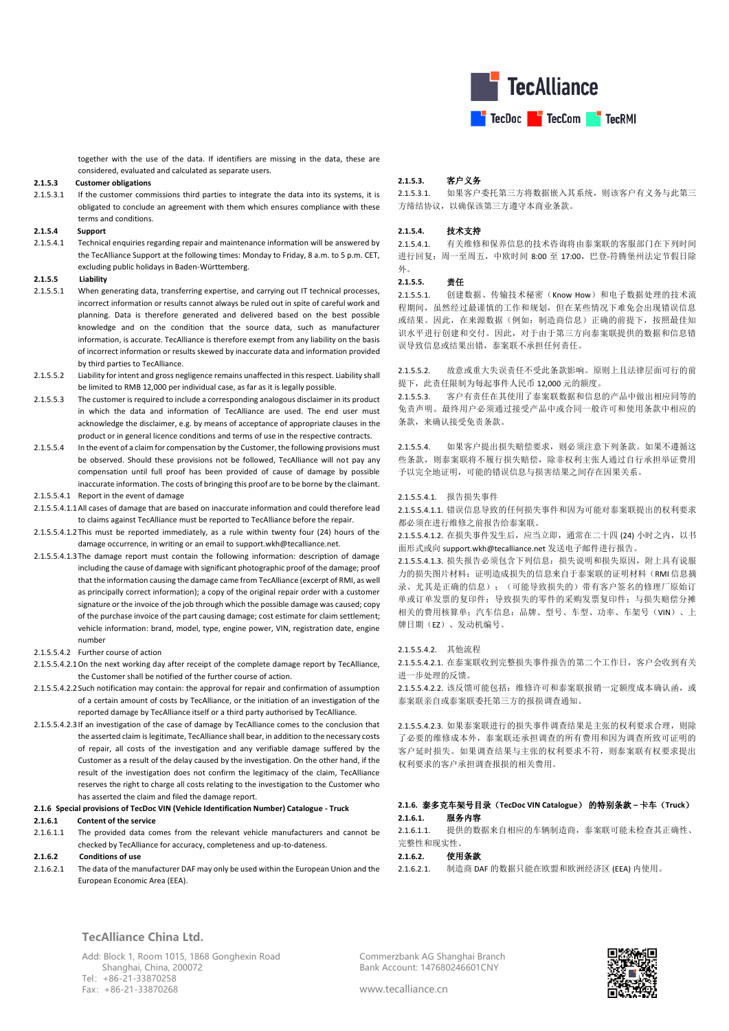

together with the use of the data. If identifiers are missing in the data, these are considered, evaluated and calculated as separate users.

### **2.1.5.3 Customer obligations**

2.1.5.3.1 If the customer commissions third parties to integrate the data into its systems, it is obligated to conclude an agreement with them which ensures compliance with these terms and conditions.

### **2.1.5.4 Support**

2.1.5.4.1 Technical enquiries regarding repair and maintenance information will be answered by the TecAlliance Support at the following times: Monday to Friday, 8 a.m. to 5 p.m. CET, excluding public holidays in Baden-Württemberg.

## **2.1.5.5 Liability**

- 2.1.5.5.1 When generating data, transferring expertise, and carrying out IT technical processes, incorrect information or results cannot always be ruled out in spite of careful work and planning. Data is therefore generated and delivered based on the best possible knowledge and on the condition that the source data, such as manufacturer information, is accurate. TecAlliance is therefore exempt from any liability on the basis of incorrect information or results skewed by inaccurate data and information provided by third parties to TecAlliance.
- 2.1.5.5.2 Liability for intent and gross negligence remains unaffected in this respect. Liability shall be limited to RMB 12,000 per individual case, as far as it is legally possible.
- 2.1.5.5.3 The customer is required to include a corresponding analogous disclaimer in its product in which the data and information of TecAlliance are used. The end user must acknowledge the disclaimer, e.g. by means of acceptance of appropriate clauses in the product or in general licence conditions and terms of use in the respective contracts.
- 2.1.5.5.4 In the event of a claim for compensation by the Customer, the following provisions must be observed. Should these provisions not be followed, TecAlliance will not pay any compensation until full proof has been provided of cause of damage by possible inaccurate information. The costs of bringing this proof are to be borne by the claimant.
- 2.1.5.5.4.1 Report in the event of damage
- 2.1.5.5.4.1.1All cases of damage that are based on inaccurate information and could therefore lead to claims against TecAlliance must be reported to TecAlliance before the repair.
- 2.1.5.5.4.1.2This must be reported immediately, as a rule within twenty four (24) hours of the damage occurrence, in writing or an email to support.wkh@tecalliance.net.
- 2.1.5.5.4.1.3The damage report must contain the following information: description of damage including the cause of damage with significant photographic proof of the damage; proof that the information causing the damage came from TecAlliance (excerpt of RMI, as well as principally correct information); a copy of the original repair order with a customer signature or the invoice of the job through which the possible damage was caused; copy of the purchase invoice of the part causing damage; cost estimate for claim settlement; vehicle information: brand, model, type, engine power, VIN, registration date, engine number
- 2.1.5.5.4.2 Further course of action
- 2.1.5.5.4.2.1On the next working day after receipt of the complete damage report by TecAlliance, the Customer shall be notified of the further course of action.
- 2.1.5.5.4.2.2Such notification may contain: the approval for repair and confirmation of assumption of a certain amount of costs by TecAlliance, or the initiation of an investigation of the reported damage by TecAlliance itself or a third party authorised by TecAlliance.
- 2.1.5.5.4.2.3If an investigation of the case of damage by TecAlliance comes to the conclusion that the asserted claim is legitimate, TecAlliance shall bear, in addition to the necessary costs of repair, all costs of the investigation and any verifiable damage suffered by the Customer as a result of the delay caused by the investigation. On the other hand, if the result of the investigation does not confirm the legitimacy of the claim, TecAlliance reserves the right to charge all costs relating to the investigation to the Customer who has asserted the claim and filed the damage report.

#### **2.1.6 Special provisions of TecDoc VIN (Vehicle Identification Number) Catalogue - Truck**

#### **2.1.6.1 Content of the service**

2.1.6.1.1. The provided data comes from the relevant vehicle manufacturers and cannot be checked by TecAlliance for accuracy, completeness and up-to-dateness.

#### **2.1.6.2 Conditions of use**

2.1.6.2.1 The data of the manufacturer DAF may only be used within the European Union and the European Economic Area (EEA).

#### **2.1.5.3.** 客户义务

2.1.5.3.1. 如果客户委托第三方将数据嵌入其系统,则该客户有义务与此第三 方缔结协议,以确保该第三方遵守本商业条款。

### **2.1.5.4.** 技术支持

2.1.5.4.1. 有关维修和保养信息的技术咨询将由泰案联的客服部门在下列时间 进行回复:周一至周五,中欧时间 8:00 至 17:00,巴登-符腾堡州法定节假日除 外。

### **2.1.5.5.** 责任

2.1.5.5.1. 创建数据、传输技术秘密(Know How)和电子数据处理的技术流 程期间,虽然经过最谨慎的工作和规划,但在某些情况下难免会出现错误信息 或结果。因此,在来源数据(例如:制造商信息)正确的前提下,按照最佳知 识水平进行创建和交付。因此,对于由于第三方向泰案联提供的数据和信息错 误导致信息或结果出错,泰案联不承担任何责任。

2.1.5.5.2. 故意或重大失误责任不受此条款影响。原则上且法律层面可行的前 提下,此责任限制为每起事件人民币 12,000 元的额度。

2.1.5.5.3. 客户有责任在其使用了泰案联数据和信息的产品中做出相应同等的 免责声明。最终用户必须通过接受产品中或合同一般许可和使用条款中相应的 条款,来确认接受免责条款。

2.1.5.5.4. 如果客户提出损失赔偿要求,则必须注意下列条款。如果不遵循这 些条款,则泰案联将不履行损失赔偿,除非权利主张人通过自行承担举证费用 予以完全地证明,可能的错误信息与损害结果之间存在因果关系。

#### 2.1.5.5.4.1. 报告损失事件

2.1.5.5.4.1.1. 错误信息导致的任何损失事件和因为可能对泰案联提出的权利要求 都必须在进行维修之前报告给泰案联。

2.1.5.5.4.1.2. 在损失事件发生后,应当立即,通常在二十四 (24) 小时之内, 以书 面形式或向 support.wkh@tecalliance.net 发送电子邮件进行报告。

2.1.5.5.4.1.3. 损失报告必须包含下列信息:损失说明和损失原因,附上具有说服 力的损失图片材料;证明造成损失的信息来自于泰案联的证明材料(RMI 信息摘 录、尤其是正确的信息);(可能导致损失的)带有客户签名的修理厂原始订 单或订单发票的复印件;导致损失的零件的采购发票复印件;与损失赔偿分摊 相关的费用核算单;汽车信息:品牌、型号、车型、功率、车架号(VIN)、上 牌日期(EZ)、发动机编号。

### 2.1.5.5.4.2. 其他流程

2.1.5.5.4.2.1. 在泰案联收到完整损失事件报告的第二个工作日,客户会收到有关 进一步处理的反馈。

2.1.5.5.4.2.2. 该反馈可能包括: 维修许可和泰案联报销一定额度成本确认函, 或 泰案联亲自或泰案联委托第三方的报损调查通知。

2.1.5.5.4.2.3. 如果泰案联进行的损失事件调查结果是主张的权利要求合理,则除 了必要的维修成本外,泰案联还承担调查的所有费用和因为调查所致可证明的 客户延时损失。如果调查结果与主张的权利要求不符,则泰案联有权要求提出 权利要求的客户承担调查报损的相关费用。

## **2.1.6.** 泰多克车架号目录(**TecDoc VIN Catalogue**) 的特别条款 **–** 卡车(**Truck**) **2.1.6.1.** 服务内容

2.1.6.1.1. 提供的数据来自相应的车辆制造商,泰案联可能未检查其正确性、 完整性和现实性。

## **2.1.6.2.** 使用条款

2.1.6.2.1. 制造商 DAF 的数据只能在欧盟和欧洲经济区 (EEA) 内使用。

**TecAlliance China Ltd.**

Add: Block 1, Room 1015, 1868 Gonghexin Road Shanghai, China, 200072 Tel:+86-21-33870258 Fax:+86-21-33870268

Commerzbank AG Shanghai Branch Bank Account: 147680246601CNY

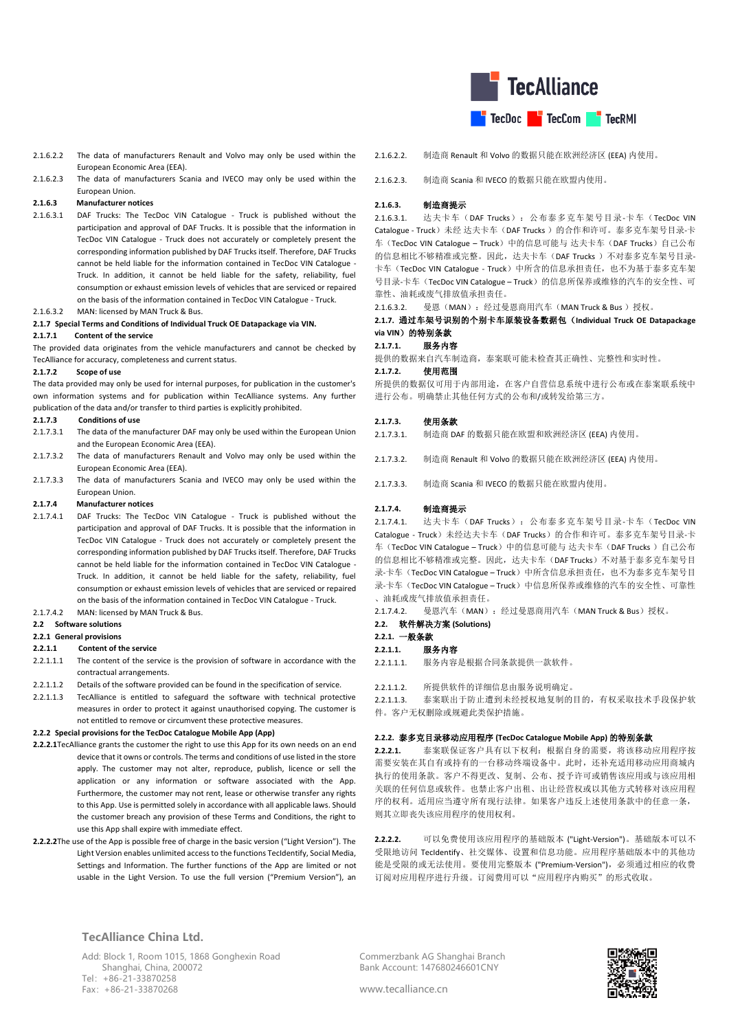

- 2.1.6.2.2 The data of manufacturers Renault and Volvo may only be used within the European Economic Area (EEA).
- 2.1.6.2.3 The data of manufacturers Scania and IVECO may only be used within the European Union.

### **2.1.6.3 Manufacturer notices**

- 2.1.6.3.1 DAF Trucks: The TecDoc VIN Catalogue Truck is published without the participation and approval of DAF Trucks. It is possible that the information in TecDoc VIN Catalogue - Truck does not accurately or completely present the corresponding information published by DAF Trucks itself. Therefore, DAF Trucks cannot be held liable for the information contained in TecDoc VIN Catalogue - Truck. In addition, it cannot be held liable for the safety, reliability, fuel consumption or exhaust emission levels of vehicles that are serviced or repaired on the basis of the information contained in TecDoc VIN Catalogue - Truck.
- 2.1.6.3.2 MAN: licensed by MAN Truck & Bus.

### **2.1.7 Special Terms and Conditions of Individual Truck OE Datapackage via VIN.**

#### **2.1.7.1 Content of the service**

The provided data originates from the vehicle manufacturers and cannot be checked by TecAlliance for accuracy, completeness and current status.

#### **2.1.7.2 Scope of use**

The data provided may only be used for internal purposes, for publication in the customer's own information systems and for publication within TecAlliance systems. Any further publication of the data and/or transfer to third parties is explicitly prohibited.

#### **2.1.7.3 Conditions of use**

- 2.1.7.3.1 The data of the manufacturer DAF may only be used within the European Union and the European Economic Area (EEA).
- 2.1.7.3.2 The data of manufacturers Renault and Volvo may only be used within the European Economic Area (EEA).
- 2.1.7.3.3 The data of manufacturers Scania and IVECO may only be used within the European Union.

### **2.1.7.4 Manufacturer notices**

- 2.1.7.4.1 DAF Trucks: The TecDoc VIN Catalogue Truck is published without the participation and approval of DAF Trucks. It is possible that the information in TecDoc VIN Catalogue - Truck does not accurately or completely present the corresponding information published by DAF Trucks itself. Therefore, DAF Trucks cannot be held liable for the information contained in TecDoc VIN Catalogue - Truck. In addition, it cannot be held liable for the safety, reliability, fuel consumption or exhaust emission levels of vehicles that are serviced or repaired on the basis of the information contained in TecDoc VIN Catalogue - Truck.
- 2.1.7.4.2 MAN: licensed by MAN Truck & Bus.

### **2.2 Software solutions**

#### **2.2.1 General provisions**

#### **2.2.1.1 Content of the service**

- 2.2.1.1.1 The content of the service is the provision of software in accordance with the contractual arrangements.
- 2.2.1.1.2 Details of the software provided can be found in the specification of service.
- 2.2.1.1.3 TecAlliance is entitled to safeguard the software with technical protective measures in order to protect it against unauthorised copying. The customer is not entitled to remove or circumvent these protective measures.

## **2.2.2 Special provisions for the TecDoc Catalogue Mobile App (App)**

- **2.2.2.1**TecAlliance grants the customer the right to use this App for its own needs on an end device that it owns or controls. The terms and conditions of use listed in the store apply. The customer may not alter, reproduce, publish, licence or sell the application or any information or software associated with the App. Furthermore, the customer may not rent, lease or otherwise transfer any rights to this App. Use is permitted solely in accordance with all applicable laws. Should the customer breach any provision of these Terms and Conditions, the right to use this App shall expire with immediate effect.
- **2.2.2.2**The use of the App is possible free of charge in the basic version ("Light Version"). The Light Version enables unlimited access to the functions TecIdentify, Social Media, Settings and Information. The further functions of the App are limited or not usable in the Light Version. To use the full version ("Premium Version"), an
- 2.1.6.2.2. 制造商 Renault 和 Volvo 的数据只能在欧洲经济区 (EEA) 内使用。
- 2.1.6.2.3. 制造商 Scania 和 IVECO 的数据只能在欧盟内使用。

### **2.1.6.3.** 制造商提示

2.1.6.3.1. 达夫卡车(DAF Trucks):公布泰多克车架号目录-卡车(TecDoc VIN Catalogue - Truck)未经达夫卡车(DAF Trucks)的合作和许可。泰多克车架号目录-卡 车(TecDoc VIN Catalogue – Truck)中的信息可能与 达夫卡车(DAF Trucks)自己公布 的信息相比不够精准或完整。因此,达夫卡车(DAF Trucks )不对泰多克车架号目录-卡车(TecDoc VIN Catalogue - Truck)中所含的信息承担责任,也不为基于泰多克车架 号目录-卡车(TecDoc VIN Catalogue – Truck)的信息所保养或维修的汽车的安全性、可 靠性、油耗或废气排放值承担责任。

21632 曼恩(MAN): 经过曼恩商用汽车(MAN Truck & Bus)授权。

## **2.1.7.** 通过车架号识别的个别卡车原装设备数据包(**Individual Truck OE Datapackage**  via VIN)的特别条款

#### **2.1.7.1.** 服务内容

提供的数据来自汽车制造商,泰案联可能未检查其正确性、完整性和实时性。

#### **2.1.7.2.** 使用范围

所提供的数据仅可用于内部用途,在客户自营信息系统中进行公布或在泰案联系统中 进行公布。明确禁止其他任何方式的公布和/或转发给第三方。

### **2.1.7.3.** 使用条款

- 2.1.7.3.1. 制造商 DAF 的数据只能在欧盟和欧洲经济区 (EEA) 内使用。
- 2.1.7.3.2. 制造商 Renault 和 Volvo 的数据只能在欧洲经济区 (EEA) 内使用。
- 2.1.7.3.3. 制造商 Scania 和 IVECO 的数据只能在欧盟内使用。

### **2.1.7.4.** 制造商提示

2.1.7.4.1. 达夫卡车(DAF Trucks): 公布泰多克车架号目录-卡车(TecDoc VIN Catalogue - Truck)未经达夫卡车(DAF Trucks)的合作和许可。泰多克车架号目录-卡 车(TecDoc VIN Catalogue – Truck)中的信息可能与 达夫卡车(DAF Trucks)自己公布 的信息相比不够精准或完整。因此,达夫卡车(DAF Trucks)不对基于泰多克车架号目 录-卡车(TecDoc VIN Catalogue – Truck)中所含信息承担责任,也不为泰多克车架号目 录-卡车(TecDoc VIN Catalogue – Truck)中信息所保养或维修的汽车的安全性、可靠性 、油耗或废气排放值承担责任。

2.1.7.4.2. 曼恩汽车(MAN): 经过曼恩商用汽车(MAN Truck & Bus)授权。

- **2.2.** 软件解决方案 **(Solutions)**
- **2.2.1.** 一般条款

#### **2.2.1.1.** 服务内容

2.2.1.1.1. 服务内容是根据合同条款提供一款软件。

2.2.1.1.2. 所提供软件的详细信息由服务说明确定。

2.2.1.1.3. 泰案联出于防止遭到未经授权地复制的目的,有权采取技术手段保护软 件。客户无权删除或规避此类保护措施。

### **2.2.2.** 泰多克目录移动应用程序 **(TecDoc Catalogue Mobile App)** 的特别条款

**2.2.2.1.** 泰案联保证客户具有以下权利:根据自身的需要,将该移动应用程序按 需要安装在其自有或持有的一台移动终端设备中。此时,还补充适用移动应用商城内 执行的使用条款。客户不得更改、复制、公布、授予许可或销售该应用或与该应用相 关联的任何信息或软件。也禁止客户出租、出让经营权或以其他方式转移对该应用程 序的权利。适用应当遵守所有现行法律。如果客户违反上述使用条款中的任意一条, 则其立即丧失该应用程序的使用权利。

**2.2.2.2.** 可以免费使用该应用程序的基础版本 ("Light-Version")。基础版本可以不 受限地访问 TecIdentify、社交媒体、设置和信息功能。应用程序基础版本中的其他功 能是受限的或无法使用。要使用完整版本 ("Premium-Version"), 必须通过相应的收费 订阅对应用程序进行升级。订阅费用可以"应用程序内购买"的形式收取。

**TecAlliance China Ltd.**

Add: Block 1, Room 1015, 1868 Gonghexin Road Shanghai, China, 200072 Tel:+86-21-33870258 Fax:+86-21-33870268

Commerzbank AG Shanghai Branch Bank Account: 147680246601CNY

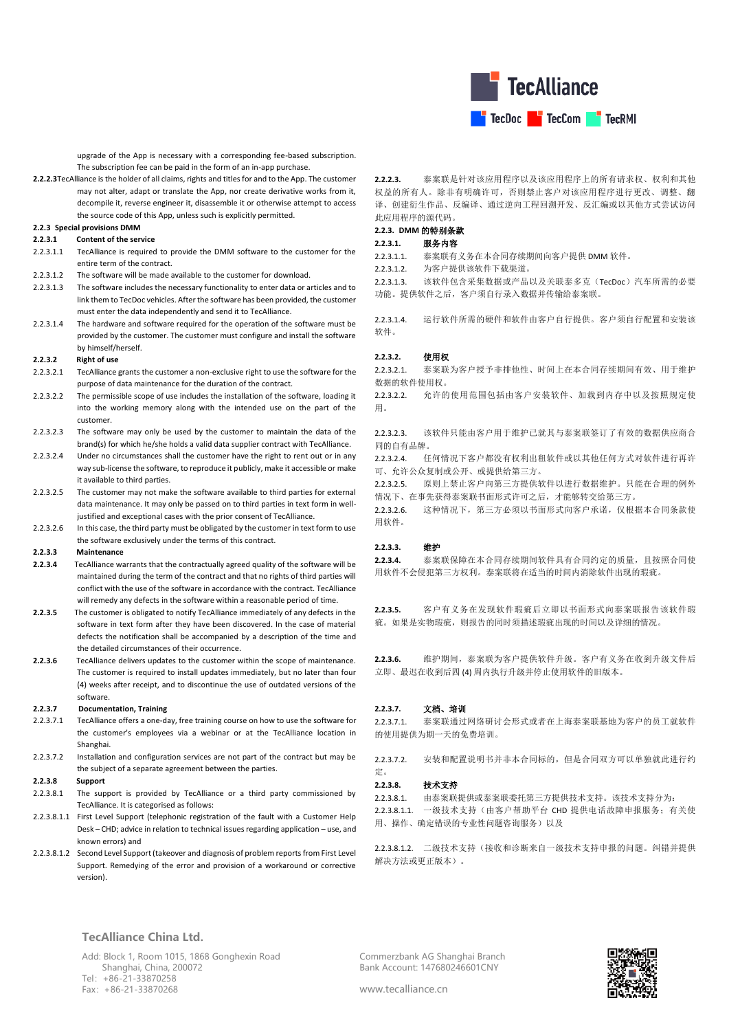

upgrade of the App is necessary with a corresponding fee-based subscription. The subscription fee can be paid in the form of an in-app purchase.

**2.2.2.3**TecAlliance is the holder of all claims, rights and titles for and to the App. The customer may not alter, adapt or translate the App, nor create derivative works from it, decompile it, reverse engineer it, disassemble it or otherwise attempt to access the source code of this App, unless such is explicitly permitted.

## **2.2.3 Special provisions DMM**

## **2.2.3.1 Content of the service**

- 2.2.3.1.1 TecAlliance is required to provide the DMM software to the customer for the entire term of the contract.
- 2.2.3.1.2 The software will be made available to the customer for download.
- 2.2.3.1.3 The software includes the necessary functionality to enter data or articles and to link them to TecDoc vehicles. After the software has been provided, the customer must enter the data independently and send it to TecAlliance.
- 2.2.3.1.4 The hardware and software required for the operation of the software must be provided by the customer. The customer must configure and install the software by himself/herself.

#### **2.2.3.2 Right of use**

- 2.2.3.2.1 TecAlliance grants the customer a non-exclusive right to use the software for the purpose of data maintenance for the duration of the contract.
- 2.2.3.2.2 The permissible scope of use includes the installation of the software, loading it into the working memory along with the intended use on the part of the customer.
- 2.2.3.2.3 The software may only be used by the customer to maintain the data of the brand(s) for which he/she holds a valid data supplier contract with TecAlliance.
- 2.2.3.2.4 Under no circumstances shall the customer have the right to rent out or in any way sub-license the software, to reproduce it publicly, make it accessible or make it available to third parties.
- 2.2.3.2.5 The customer may not make the software available to third parties for external data maintenance. It may only be passed on to third parties in text form in welljustified and exceptional cases with the prior consent of TecAlliance.
- 2.2.3.2.6 In this case, the third party must be obligated by the customer in text form to use the software exclusively under the terms of this contract.

#### **2.2.3.3 Maintenance**

- **2.2.3.4** TecAlliance warrants that the contractually agreed quality of the software will be maintained during the term of the contract and that no rights of third parties will conflict with the use of the software in accordance with the contract. TecAlliance will remedy any defects in the software within a reasonable period of time.
- **2.2.3.5** The customer is obligated to notify TecAlliance immediately of any defects in the software in text form after they have been discovered. In the case of material defects the notification shall be accompanied by a description of the time and the detailed circumstances of their occurrence.
- **2.2.3.6** TecAlliance delivers updates to the customer within the scope of maintenance. The customer is required to install updates immediately, but no later than four (4) weeks after receipt, and to discontinue the use of outdated versions of the software.

### **2.2.3.7 Documentation, Training**

- 2.2.3.7.1 TecAlliance offers a one-day, free training course on how to use the software for the customer's employees via a webinar or at the TecAlliance location in Shanghai.
- 2.2.3.7.2 Installation and configuration services are not part of the contract but may be the subject of a separate agreement between the parties.

### **2.2.3.8 Support**

- 2.2.3.8.1 The support is provided by TecAlliance or a third party commissioned by TecAlliance. It is categorised as follows:
- 2.2.3.8.1.1 First Level Support (telephonic registration of the fault with a Customer Help Desk – CHD; advice in relation to technical issues regarding application – use, and known errors) and
- 2.2.3.8.1.2 Second Level Support (takeover and diagnosis of problem reports from First Level Support. Remedying of the error and provision of a workaround or corrective version).

## **2.2.2.3.** 泰案联是针对该应用程序以及该应用程序上的所有请求权、权利和其他 权益的所有人。除非有明确许可,否则禁止客户对该应用程序进行更改、调整、翻 译、创建衍生作品、反编译、通过逆向工程回溯开发、反汇编或以其他方式尝试访问 此应用程序的源代码。

# **2.2.3. DMM** 的特别条款

# **2.2.3.1.** 服务内容

2.2.3.1.1. 泰案联有义务在本合同存续期间向客户提供 DMM 软件。

2.2.3.1.2. 为客户提供该软件下载渠道。

2.2.3.1.3. 该软件包含采集数据或产品以及关联泰多克(TecDoc)汽车所需的必要 功能。提供软件之后,客户须自行录入数据并传输给泰案联。

2.2.3.1.4. 运行软件所需的硬件和软件由客户自行提供。客户须自行配置和安装该 软件。

### **2.2.3.2.** 使用权

2.2.3.2.1. 泰案联为客户授予非排他性、时间上在本合同存续期间有效、用于维护 数据的软件使用权。

2.2.3.2.2. 允许的使用范围包括由客户安装软件、加载到内存中以及按照规定使 用。

2.2.3.2.3. 该软件只能由客户用于维护已就其与泰案联签订了有效的数据供应商合 同的自有品牌。

2.2.3.2.4. 任何情况下客户都没有权利出租软件或以其他任何方式对软件进行再许 可、允许公众复制或公开、或提供给第三方。

2.2.3.2.5. 原则上禁止客户向第三方提供软件以进行数据维护。只能在合理的例外 情况下、在事先获得泰案联书面形式许可之后,才能够转交给第三方。

2.2.3.2.6. 这种情况下,第三方必须以书面形式向客户承诺,仅根据本合同条款使 用软件。

### **2.2.3.3.** 维护

**2.2.3.4.** 泰案联保障在本合同存续期间软件具有合同约定的质量,且按照合同使 用软件不会侵犯第三方权利。泰案联将在适当的时间内消除软件出现的瑕疵。

**2.2.3.5.** 客户有义务在发现软件瑕疵后立即以书面形式向泰案联报告该软件瑕 疵。如果是实物瑕疵,则报告的同时须描述瑕疵出现的时间以及详细的情况。

**2.2.3.6.** 维护期间,泰案联为客户提供软件升级。客户有义务在收到升级文件后 立即、最迟在收到后四 (4) 周内执行升级并停止使用软件的旧版本。

#### **2.2.3.7.** 文档、培训

2.2.3.7.1. 泰案联通过网络研讨会形式或者在上海泰案联基地为客户的员工就软件 的使用提供为期一天的免费培训。

2.2.3.7.2. 安装和配置说明书并非本合同标的,但是合同双方可以单独就此进行约 定。

## **2.2.3.8.** 技术支持

2.2.3.8.1. 由泰案联提供或泰案联委托第三方提供技术支持。该技术支持分为:

2.2.3.8.1.1. 一级技术支持(由客户帮助平台 CHD 提供电话故障申报服务;有关使 用、操作、确定错误的专业性问题咨询服务)以及

2.2.3.8.1.2. 二级技术支持(接收和诊断来自一级技术支持申报的问题。纠错并提供 解决方法或更正版本)。

### **TecAlliance China Ltd.**

Add: Block 1, Room 1015, 1868 Gonghexin Road Shanghai, China, 200072 Tel:+86-21-33870258 Fax:+86-21-33870268

Commerzbank AG Shanghai Branch Bank Account: 147680246601CNY

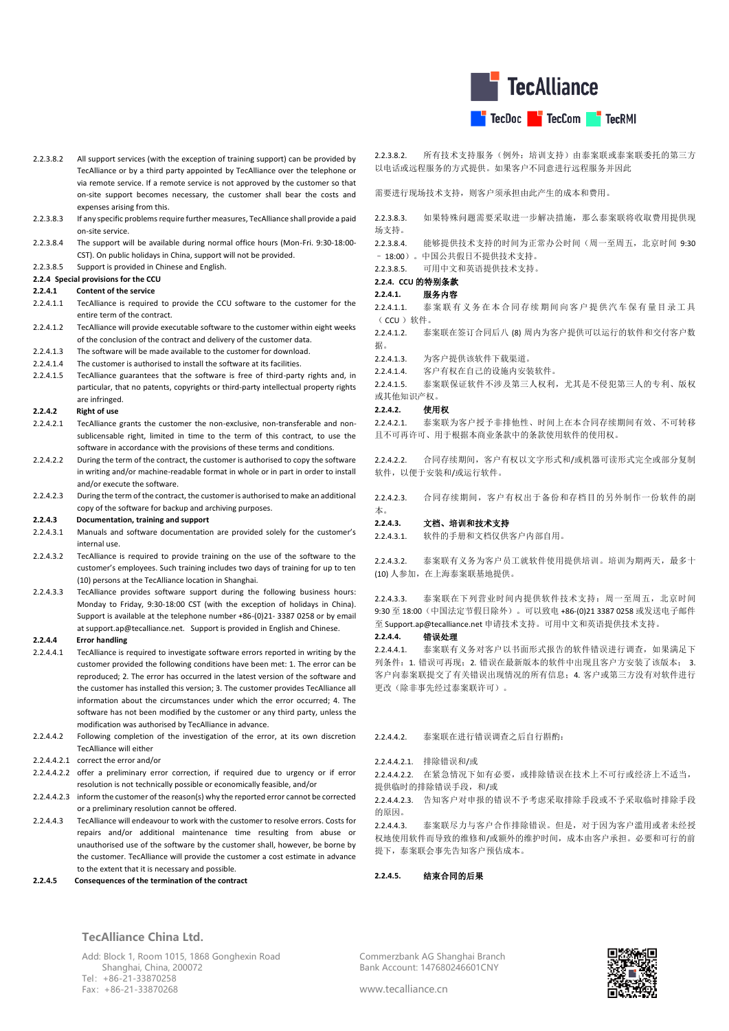

- 2.2.3.8.2 All support services (with the exception of training support) can be provided by TecAlliance or by a third party appointed by TecAlliance over the telephone or via remote service. If a remote service is not approved by the customer so that on-site support becomes necessary, the customer shall bear the costs and expenses arising from this.
- 2.2.3.8.3 If any specific problems require further measures, TecAlliance shall provide a paid on-site service.
- 2.2.3.8.4 The support will be available during normal office hours (Mon-Fri. 9:30-18:00- CST). On public holidays in China, support will not be provided.
- 2.2.3.8.5 Support is provided in Chinese and English.

## **2.2.4 Special provisions for the CCU**

### **2.2.4.1 Content of the service**

- 2.2.4.1.1 TecAlliance is required to provide the CCU software to the customer for the entire term of the contract.
- 2.2.4.1.2 TecAlliance will provide executable software to the customer within eight weeks of the conclusion of the contract and delivery of the customer data.
- 2.2.4.1.3 The software will be made available to the customer for download.
- 2.2.4.1.4 The customer is authorised to install the software at its facilities.
- 2.2.4.1.5 TecAlliance guarantees that the software is free of third-party rights and, in particular, that no patents, copyrights or third-party intellectual property rights are infringed.
- **2.2.4.2 Right of use**
- 2.2.4.2.1 TecAlliance grants the customer the non-exclusive, non-transferable and nonsublicensable right, limited in time to the term of this contract, to use the software in accordance with the provisions of these terms and conditions.
- 2.2.4.2.2 During the term of the contract, the customer is authorised to copy the software in writing and/or machine-readable format in whole or in part in order to install and/or execute the software.
- 2.2.4.2.3 During the term of the contract, the customer is authorised to make an additional copy of the software for backup and archiving purposes.

## **2.2.4.3 Documentation, training and support**

- 2.2.4.3.1 Manuals and software documentation are provided solely for the customer's internal use.
- 2.2.4.3.2 TecAlliance is required to provide training on the use of the software to the customer's employees. Such training includes two days of training for up to ten (10) persons at the TecAlliance location in Shanghai.
- 2.2.4.3.3 TecAlliance provides software support during the following business hours: Monday to Friday, 9:30-18:00 CST (with the exception of holidays in China). Support is available at the telephone number +86-(0)21- 3387 0258 or by email a[t support.ap@tecalliance.net.](mailto:support.MST@tecalliance.net) Support is provided in English and Chinese.

### **2.2.4.4 Error handling**

2.2.4.4.1 TecAlliance is required to investigate software errors reported in writing by the customer provided the following conditions have been met: 1. The error can be reproduced; 2. The error has occurred in the latest version of the software and the customer has installed this version; 3. The customer provides TecAlliance all information about the circumstances under which the error occurred; 4. The software has not been modified by the customer or any third party, unless the modification was authorised by TecAlliance in advance.

- 2.2.4.4.2 Following completion of the investigation of the error, at its own discretion TecAlliance will either
- 2.2.4.4.2.1 correct the error and/or
- 2.2.4.4.2.2 offer a preliminary error correction, if required due to urgency or if error resolution is not technically possible or economically feasible, and/or
- 2.2.4.4.2.3 inform the customer of the reason(s) why the reported error cannot be corrected or a preliminary resolution cannot be offered.
- 2.2.4.4.3 TecAlliance will endeavour to work with the customer to resolve errors. Costs for repairs and/or additional maintenance time resulting from abuse or unauthorised use of the software by the customer shall, however, be borne by the customer. TecAlliance will provide the customer a cost estimate in advance to the extent that it is necessary and possible.
- **2.2.4.5 Consequences of the termination of the contract**

2.2.3.8.2. 所有技术支持服务(例外:培训支持)由泰案联或泰案联委托的第三方 以电话或远程服务的方式提供。如果客户不同意进行远程服务并因此

需要进行现场技术支持,则客户须承担由此产生的成本和费用。

2.2.3.8.3. 如果特殊问题需要采取进一步解决措施,那么泰案联将收取费用提供现 场支持。

2.2.3.8.4. 能够提供技术支持的时间为正常办公时间(周一至周五,北京时间 9:30 – 18:00)。中国公共假日不提供技术支持。

2.2.3.8.5. 可用中文和英语提供技术支持。

# **2.2.4. CCU** 的特别条款

#### **2.2.4.1.** 服务内容

- 2.2.4.1.1. 泰案联有义务在本合同存续期间向客户提供汽车保有量目录工具  $(CCl)$ 较件。
- 2.2.4.1.2. 泰案联在签订合同后八 (8) 周内为客户提供可以运行的软件和交付客户数 据。
- 2.2.4.1.3. 为客户提供该软件下载渠道。
- 2.2.4.1.4. 客户有权在自己的设施内安装软件。

2.2.4.1.5. 泰案联保证软件不涉及第三人权利,尤其是不侵犯第三人的专利、版权 或其他知识产权。

### **2.2.4.2.** 使用权

2.2.4.2.1. 泰案联为客户授予非排他性、时间上在本合同存续期间有效、不可转移 且不可再许可、用于根据本商业条款中的条款使用软件的使用权。

2.2.4.2.2. 合同存续期间,客户有权以文字形式和/或机器可读形式完全或部分复制 软件,以便干安装和/或运行软件。

2.2.4.2.3. 合同存续期间,客户有权出于备份和存档目的另外制作一份软件的副 本。

## **2.2.4.3.** 文档、培训和技术支持

2.2.4.3.1. 软件的手册和文档仅供客户内部自用。

2.2.4.3.2. 泰案联有义务为客户员工就软件使用提供培训。培训为期两天,最多十 (10) 人参加,在上海泰案联基地提供。

2.2.4.3.3. 泰案联在下列营业时间内提供软件技术支持:周一至周五,北京时间 9:30 至 18:00(中国法定节假日除外)。可以致电 +86-(0)21 3387 0258 或发送电子邮件 至 Support.ap@tecalliance.net 申请技术支持。可用中文和英语提供技术支持。

## **2.2.4.4.** 错误处理

2.2.4.4.1. 泰案联有义务对客户以书面形式报告的软件错误进行调查,如果满足下 列条件:1. 错误可再现;2. 错误在最新版本的软件中出现且客户方安装了该版本; 3. 客户向泰案联提交了有关错误出现情况的所有信息;4. 客户或第三方没有对软件进行 更改(除非事先经过泰案联许可)。

## 2.2.4.4.2. 泰案联在进行错误调查之后自行斟酌:

### 2.2.4.4.2.1. 排除错误和/或

2.2.4.4.2.2. 在紧急情况下如有必要,或排除错误在技术上不可行或经济上不适当, 提供临时的排除错误手段,和/或

2.2.4.4.2.3. 告知客户对申报的错误不予考虑采取排除手段或不予采取临时排除手段 的原因。

2.2.4.4.3. 泰案联尽力与客户合作排除错误。但是,对于因为客户滥用或者未经授 权地使用软件而导致的维修和/或额外的维护时间,成本由客户承担。必要和可行的前 提下,泰案联会事先告知客户预估成本。

**2.2.4.5.** 结束合同的后果

## **TecAlliance China Ltd.**

Add: Block 1, Room 1015, 1868 Gonghexin Road Shanghai, China, 200072 Tel:+86-21-33870258 Fax:+86-21-33870268

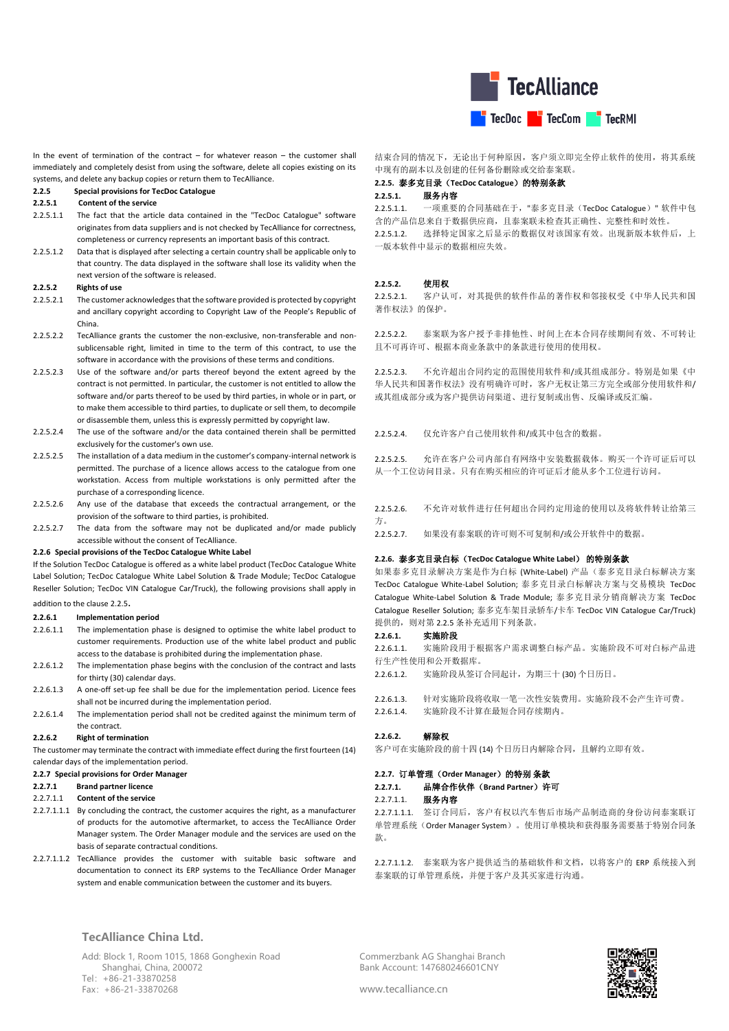

In the event of termination of the contract – for whatever reason – the customer shall immediately and completely desist from using the software, delete all copies existing on its systems, and delete any backup copies or return them to TecAlliance.

#### <span id="page-11-0"></span>**2.2.5 Special provisions for TecDoc Catalogue**

### **2.2.5.1 Content of the service**

- 2.2.5.1.1 The fact that the article data contained in the "TecDoc Catalogue" software originates from data suppliers and is not checked by TecAlliance for correctness, completeness or currency represents an important basis of this contract.
- 2.2.5.1.2 Data that is displayed after selecting a certain country shall be applicable only to that country. The data displayed in the software shall lose its validity when the next version of the software is released.

#### **2.2.5.2 Rights of use**

- 2.2.5.2.1 The customer acknowledges that the software provided is protected by copyright and ancillary copyright according to Copyright Law of the People's Republic of China.
- 2.2.5.2.2 TecAlliance grants the customer the non-exclusive, non-transferable and nonsublicensable right, limited in time to the term of this contract, to use the software in accordance with the provisions of these terms and conditions.
- 2.2.5.2.3 Use of the software and/or parts thereof beyond the extent agreed by the contract is not permitted. In particular, the customer is not entitled to allow the software and/or parts thereof to be used by third parties, in whole or in part, or to make them accessible to third parties, to duplicate or sell them, to decompile or disassemble them, unless this is expressly permitted by copyright law.
- 2.2.5.2.4 The use of the software and/or the data contained therein shall be permitted exclusively for the customer's own use.
- 2.2.5.2.5 The installation of a data medium in the customer's company-internal network is permitted. The purchase of a licence allows access to the catalogue from one workstation. Access from multiple workstations is only permitted after the purchase of a corresponding licence.
- 2.2.5.2.6 Any use of the database that exceeds the contractual arrangement, or the provision of the software to third parties, is prohibited.
- 2.2.5.2.7 The data from the software may not be duplicated and/or made publicly accessible without the consent of TecAlliance.

#### **2.2.6 Special provisions of the TecDoc Catalogue White Label**

If the Solution TecDoc Catalogue is offered as a white label product (TecDoc Catalogue White Label Solution; TecDoc Catalogue White Label Solution & Trade Module; TecDoc Catalogue Reseller Solution; TecDoc VIN Catalogue Car/Truck), the following provisions shall apply in addition to the claus[e 2.2.5](#page-11-0).

### **2.2.6.1 Implementation period**

- 2.2.6.1.1 The implementation phase is designed to optimise the white label product to customer requirements. Production use of the white label product and public access to the database is prohibited during the implementation phase.
- 2.2.6.1.2 The implementation phase begins with the conclusion of the contract and lasts for thirty (30) calendar days.
- 2.2.6.1.3 A one-off set-up fee shall be due for the implementation period. Licence fees shall not be incurred during the implementation period.
- 2.2.6.1.4 The implementation period shall not be credited against the minimum term of the contract.

#### **2.2.6.2 Right of termination**

The customer may terminate the contract with immediate effect during the first fourteen (14) calendar days of the implementation period.

### **2.2.7 Special provisions for Order Manager**

- **2.2.7.1 Brand partner licence**
- 2.2.7.1.1 **Content of the service**
- 2.2.7.1.1.1 By concluding the contract, the customer acquires the right, as a manufacturer of products for the automotive aftermarket, to access the TecAlliance Order Manager system. The Order Manager module and the services are used on the basis of separate contractual conditions.
- 2.2.7.1.1.2 TecAlliance provides the customer with suitable basic software and documentation to connect its ERP systems to the TecAlliance Order Manager system and enable communication between the customer and its buyers.

**TecAlliance China Ltd.**

Add: Block 1, Room 1015, 1868 Gonghexin Road Shanghai, China, 200072 Tel:+86-21-33870258 Fax:+86-21-33870268

结束合同的情况下,无论出于何种原因,客户须立即完全停止软件的使用,将其系统 中现有的副本以及创建的任何备份删除或交给泰案联。

# **2.2.5.** 泰多克目录(**TecDoc Catalogue**)的特别条款

## **2.2.5.1.** 服务内容

2.2.5.1.1. 一项重要的合同基础在于,"泰多克目录(TecDoc Catalogue)" 软件中包 含的产品信息来自于数据供应商,且泰案联未检查其正确性、完整性和时效性。 2.2.5.1.2. 选择特定国家之后显示的数据仅对该国家有效。出现新版本软件后,上 一版本软件中显示的数据相应失效。

### **2.2.5.2.** 使用权

2.2.5.2.1. 客户认可,对其提供的软件作品的著作权和邻接权受《中华人民共和国 著作权法》的保护。

2.2.5.2.2. 泰案联为客户授予非排他性、时间上在本合同存续期间有效、不可转让 且不可再许可、根据本商业条款中的条款进行使用的使用权。

2.2.5.2.3. 不允许超出合同约定的范围使用软件和/或其组成部分。特别是如果《中 华人民共和国著作权法》没有明确许可时,客户无权让第三方完全或部分使用软件和/ 或其组成部分或为客户提供访问渠道、进行复制或出售、反编译或反汇编。

2.2.5.2.4. 仅允许客户自己使用软件和/或其中包含的数据。

2.2.5.2.5. 允许在客户公司内部自有网络中安装数据载体。购买一个许可证后可以 从一个工位访问目录。只有在购买相应的许可证后才能从多个工位进行访问。

2.2.5.2.6. 不允许对软件进行任何超出合同约定用途的使用以及将软件转让给第三 方。

2.2.5.2.7. 如果没有泰案联的许可则不可复制和/或公开软件中的数据。

## **2.2.6.** 泰多克目录白标(**TecDoc Catalogue White Label**) 的特别条款

如果泰多克目录解决方案是作为白标 (White-Label) 产品(泰多克目录白标解决方案 TecDoc Catalogue White-Label Solution; 泰多克目录白标解决方案与交易模块 TecDoc Catalogue White-Label Solution & Trade Module; 泰多克目录分销商解决方案 TecDoc Catalogue Reseller Solution; 泰多克车架目录轿车/卡车 TecDoc VIN Catalogue Car/Truck) 提供的,则对第 [2.2.5](#page-11-0) 条补充适用下列条款。

### **2.2.6.1.** 实施阶段

2.2.6.1.1. 实施阶段用于根据客户需求调整白标产品。实施阶段不可对白标产品进 行生产性使用和公开数据库。

2.2.6.1.2. 实施阶段从签订合同起计,为期三十 (30) 个日历日。

2.2.6.1.3. 针对实施阶段将收取一笔一次性安装费用。实施阶段不会产生许可费。 2.2.6.1.4. 实施阶段不计算在最短合同存续期内。

### **2.2.6.2.** 解除权

客户可在实施阶段的前十四 (14) 个日历日内解除合同,且解约立即有效。

## **2.2.7.** 订单管理(**Order Manager**)的特别 条款

**2.2.7.1.** 品牌合作伙伴(**Brand Partner**)许可

### 2.2.7.1.1. 服务内容

2.2.7.1.1.1. 签订合同后,客户有权以汽车售后市场产品制造商的身份访问泰案联订 单管理系统(Order Manager System)。使用订单模块和获得服务需要基于特别合同条 款。

2.2.7.1.1.2. 泰案联为客户提供适当的基础软件和文档,以将客户的 ERP 系统接入到 泰案联的订单管理系统,并便于客户及其买家进行沟通。

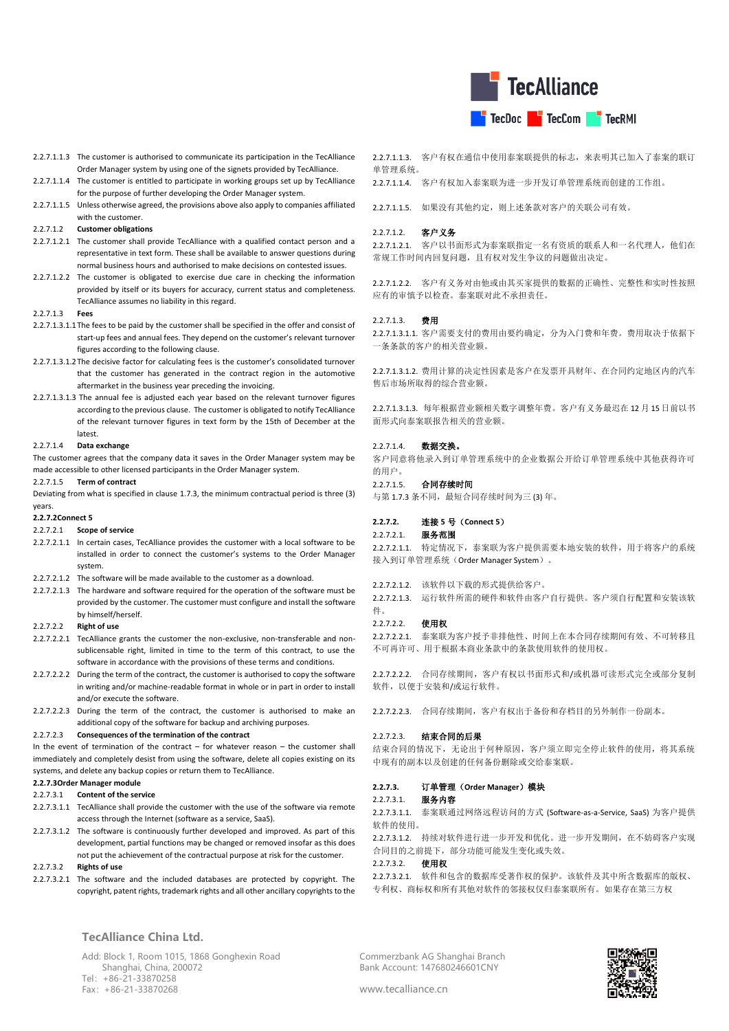

- 2.2.7.1.1.3 The customer is authorised to communicate its participation in the TecAlliance Order Manager system by using one of the signets provided by TecAlliance.
- 2.2.7.1.1.4 The customer is entitled to participate in working groups set up by TecAlliance for the purpose of further developing the Order Manager system.
- 2.2.7.1.1.5 Unless otherwise agreed, the provisions above also apply to companies affiliated with the customer.

### 2.2.7.1.2 **Customer obligations**

- 2.2.7.1.2.1 The customer shall provide TecAlliance with a qualified contact person and a representative in text form. These shall be available to answer questions during normal business hours and authorised to make decisions on contested issues.
- 2.2.7.1.2.2 The customer is obligated to exercise due care in checking the information provided by itself or its buyers for accuracy, current status and completeness. TecAlliance assumes no liability in this regard.

### 2.2.7.1.3 **Fees**

- 2.2.7.1.3.1.1The fees to be paid by the customer shall be specified in the offer and consist of start-up fees and annual fees. They depend on the customer's relevant turnover figures according to the following clause.
- 2.2.7.1.3.1.2The decisive factor for calculating fees is the customer's consolidated turnover that the customer has generated in the contract region in the automotive aftermarket in the business year preceding the invoicing.
- 2.2.7.1.3.1.3 The annual fee is adjusted each year based on the relevant turnover figures according to the previous clause. The customer is obligated to notify TecAlliance of the relevant turnover figures in text form by the 15th of December at the latest.

## 2.2.7.1.4 **Data exchange**

The customer agrees that the company data it saves in the Order Manager system may be made accessible to other licensed participants in the Order Manager system.

#### 2.2.7.1.5 **Term of contract**

Deviating from what is specified in clause [1.7.3,](#page-1-0) the minimum contractual period is three (3) years.

**2.2.7.2Connect 5**

#### 2.2.7.2.1 **Scope of service**

- 2.2.7.2.1.1 In certain cases, TecAlliance provides the customer with a local software to be installed in order to connect the customer's systems to the Order Manager system.
- 2.2.7.2.1.2 The software will be made available to the customer as a download.
- 2.2.7.2.1.3 The hardware and software required for the operation of the software must be provided by the customer. The customer must configure and install the software by himself/herself.

## 2.2.7.2.2 **Right of use**

- 2.2.7.2.2.1 TecAlliance grants the customer the non-exclusive, non-transferable and nonsublicensable right, limited in time to the term of this contract, to use the software in accordance with the provisions of these terms and conditions.
- 2.2.7.2.2.2 During the term of the contract, the customer is authorised to copy the software in writing and/or machine-readable format in whole or in part in order to install and/or execute the software.
- 2.2.7.2.2.3 During the term of the contract, the customer is authorised to make an additional copy of the software for backup and archiving purposes.

#### 2.2.7.2.3 **Consequences of the termination of the contract**

In the event of termination of the contract  $-$  for whatever reason  $-$  the customer shall immediately and completely desist from using the software, delete all copies existing on its systems, and delete any backup copies or return them to TecAlliance.

### **2.2.7.3Order Manager module**

## 2.2.7.3.1 **Content of the service**

- 2.2.7.3.1.1 TecAlliance shall provide the customer with the use of the software via remote access through the Internet (software as a service, SaaS).
- 2.2.7.3.1.2 The software is continuously further developed and improved. As part of this development, partial functions may be changed or removed insofar as this does not put the achievement of the contractual purpose at risk for the customer.

#### 2.2.7.3.2 **Rights of use**

2.2.7.3.2.1 The software and the included databases are protected by copyright. The copyright, patent rights, trademark rights and all other ancillary copyrights to the

**TecAlliance China Ltd.**

Add: Block 1, Room 1015, 1868 Gonghexin Road Shanghai, China, 200072 Tel:+86-21-33870258 Fax:+86-21-33870268

2.2.7.1.1.3. 客户有权在通信中使用泰案联提供的标志,来表明其已加入了泰案的联订 单管理系统。

2.2.7.1.1.4. 客户有权加入泰案联为进一步开发订单管理系统而创建的工作组。

2.2.7.1.1.5. 如果没有其他约定,则上述条款对客户的关联公司有效。

### 2.2.7.1.2. 客户义务

2.2.7.1.2.1. 客户以书面形式为泰案联指定一名有资质的联系人和一名代理人,他们在 常规工作时间内回复问题,且有权对发生争议的问题做出决定。

2.2.7.1.2.2. 客户有义务对由他或由其买家提供的数据的正确性、完整性和实时性按照 应有的审慎予以检查。泰案联对此不承担责任。

### 2.2.7.1.3. 费用

2.2.7.1.3.1.1. 客户需要支付的费用由要约确定,分为入门费和年费。费用取决于依据下 一条条款的客户的相关营业额。

2.2.7.1.3.1.2. 费用计算的决定性因素是客户在发票开具财年、在合同约定地区内的汽车 售后市场所取得的综合营业额。

2.2.7.1.3.1.3. 每年根据营业额相关数字调整年费。客户有义务最迟在 12 月 15 日前以书 面形式向泰案联报告相关的营业额。

#### 2.2.7.1.4. 数据交换。

客户同意将他录入到订单管理系统中的企业数据公开给订单管理系统中其他获得许可 的用户。

## 2.2.7.1.5. 合同存续时间

与第 [1.7.3](#page-1-0) 条不同,最短合同存续时间为三 (3) 年。

## **2.2.7.2.** 连接 **5** 号(**Connect 5**)

## 2.2.7.2.1. 服务范围

2.2.7.2.1.1. 特定情况下,泰案联为客户提供需要本地安装的软件,用于将客户的系统 接入到订单管理系统(Order Manager System)。

2.2.7.2.1.2. 该软件以下载的形式提供给客户。

2.2.7.2.1.3. 运行软件所需的硬件和软件由客户自行提供。客户须自行配置和安装该软 件。

#### 2.2.7.2.2. 使用权

2.2.7.2.2.1. 泰案联为客户授予非排他性、时间上在本合同存续期间有效、不可转移且 不可再许可、用于根据本商业条款中的条款使用软件的使用权。

2.2.7.2.2.2. 合同存续期间,客户有权以书面形式和/或机器可读形式完全或部分复制 软件,以便于安装和/或运行软件。

2.2.7.2.2.3. 合同存续期间,客户有权出于备份和存档目的另外制作一份副本。

### 2.2.7.2.3. 结束合同的后果

结束合同的情况下,无论出于何种原因,客户须立即完全停止软件的使用,将其系统 中现有的副本以及创建的任何备份删除或交给泰案联。

### **2.2.7.3.** 订单管理(**Order Manager**)模块

## 2.2.7.3.1. 服务内容

2.2.7.3.1.1. 泰案联通过网络远程访问的方式 (Software-as-a-Service, SaaS) 为客户提供 软件的使用。

2.2.7.3.1.2. 持续对软件进行进一步开发和优化。进一步开发期间,在不妨碍客户实现 合同目的之前提下,部分功能可能发生变化或失效。

## 2.2.7.3.2. 使用权

2.2.7.3.2.1. 软件和包含的数据库受著作权的保护。该软件及其中所含数据库的版权、 专利权、商标权和所有其他对软件的邻接权仅归泰案联所有。如果存在第三方权

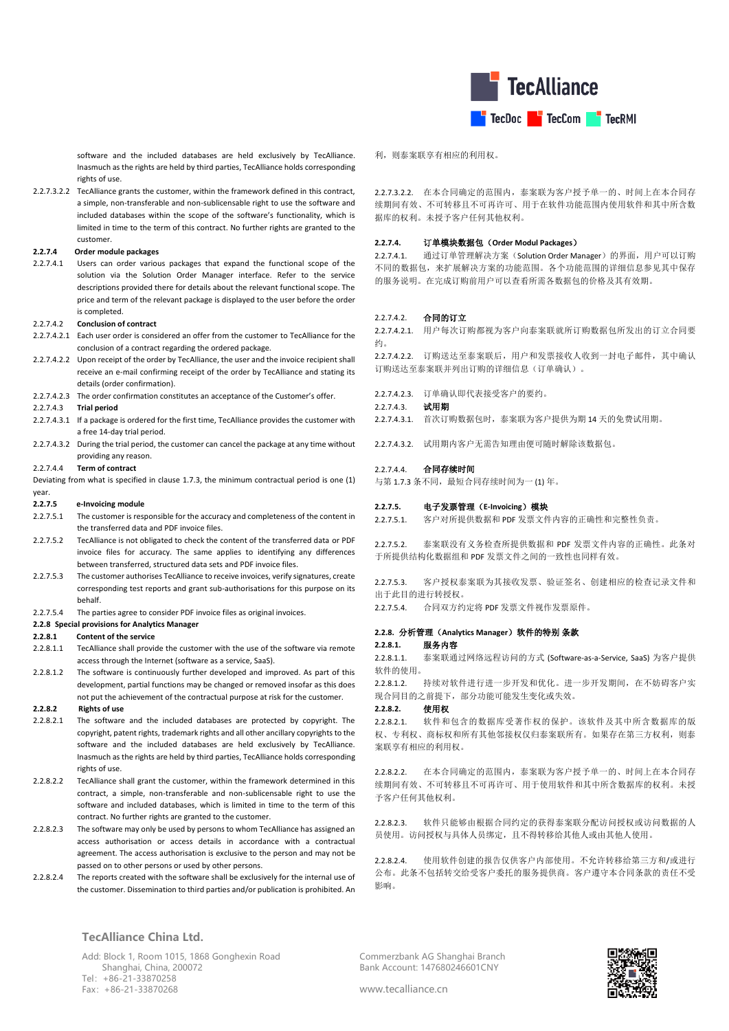

software and the included databases are held exclusively by TecAlliance. Inasmuch as the rights are held by third parties, TecAlliance holds corresponding rights of use.

2.2.7.3.2.2 TecAlliance grants the customer, within the framework defined in this contract, a simple, non-transferable and non-sublicensable right to use the software and included databases within the scope of the software's functionality, which is limited in time to the term of this contract. No further rights are granted to the customer.

#### **2.2.7.4 Order module packages**

2.2.7.4.1 Users can order various packages that expand the functional scope of the solution via the Solution Order Manager interface. Refer to the service descriptions provided there for details about the relevant functional scope. The price and term of the relevant package is displayed to the user before the order is completed.

#### 2.2.7.4.2 **Conclusion of contract**

- 2.2.7.4.2.1 Each user order is considered an offer from the customer to TecAlliance for the conclusion of a contract regarding the ordered package.
- 2.2.7.4.2.2 Upon receipt of the order by TecAlliance, the user and the invoice recipient shall receive an e-mail confirming receipt of the order by TecAlliance and stating its details (order confirmation).
- 2.2.7.4.2.3 The order confirmation constitutes an acceptance of the Customer's offer.

#### 2.2.7.4.3 **Trial period**

- 2.2.7.4.3.1 If a package is ordered for the first time, TecAlliance provides the customer with a free 14-day trial period.
- 2.2.7.4.3.2 During the trial period, the customer can cancel the package at any time without providing any reason.

#### 2.2.7.4.4 **Term of contract**

Deviating from what is specified in claus[e 1.7.3,](#page-1-0) the minimum contractual period is one (1) year.

#### **2.2.7.5 e-Invoicing module**

- 2.2.7.5.1 The customer is responsible for the accuracy and completeness of the content in the transferred data and PDF invoice files.
- 2.2.7.5.2 TecAlliance is not obligated to check the content of the transferred data or PDF invoice files for accuracy. The same applies to identifying any differences between transferred, structured data sets and PDF invoice files.
- 2.2.7.5.3 The customer authorises TecAlliance to receive invoices, verify signatures, create corresponding test reports and grant sub-authorisations for this purpose on its behalf.
- 2.2.7.5.4 The parties agree to consider PDF invoice files as original invoices.
- **2.2.8 Special provisions for Analytics Manager**

## **2.2.8.1 Content of the service**

- 2.2.8.1.1 TecAlliance shall provide the customer with the use of the software via remote access through the Internet (software as a service, SaaS).
- 2.2.8.1.2 The software is continuously further developed and improved. As part of this development, partial functions may be changed or removed insofar as this does not put the achievement of the contractual purpose at risk for the customer.

## **2.2.8.2 Rights of use**

- 2.2.8.2.1 The software and the included databases are protected by copyright. The copyright, patent rights, trademark rights and all other ancillary copyrights to the software and the included databases are held exclusively by TecAlliance. Inasmuch as the rights are held by third parties, TecAlliance holds corresponding rights of use
- 2.2.8.2.2 TecAlliance shall grant the customer, within the framework determined in this contract, a simple, non-transferable and non-sublicensable right to use the software and included databases, which is limited in time to the term of this contract. No further rights are granted to the customer.
- 2.2.8.2.3 The software may only be used by persons to whom TecAlliance has assigned an access authorisation or access details in accordance with a contractual agreement. The access authorisation is exclusive to the person and may not be passed on to other persons or used by other persons.
- 2.2.8.2.4 The reports created with the software shall be exclusively for the internal use of the customer. Dissemination to third parties and/or publication is prohibited. An

### **TecAlliance China Ltd.**

Add: Block 1, Room 1015, 1868 Gonghexin Road Shanghai, China, 200072 Tel:+86-21-33870258 Fax:+86-21-33870268

## 利,则泰案联享有相应的利用权。

2.2.7.3.2.2. 在本合同确定的范围内,泰案联为客户授予单一的、时间上在本合同存 续期间有效、不可转移且不可再许可、用于在软件功能范围内使用软件和其中所含数 据库的权利。未授予客户任何其他权利。

#### **2.2.7.4.** 订单模块数据包(**Order Modul Packages**)

2.2.7.4.1. 通过订单管理解决方案(Solution Order Manager)的界面,用户可以订购 不同的数据包,来扩展解决方案的功能范围。各个功能范围的详细信息参见其中保存 的服务说明。在完成订购前用户可以查看所需各数据包的价格及其有效期。

## 2.2.7.4.2. 合同的订立

2.2.7.4.2.1. 用户每次订购都视为客户向泰案联就所订购数据包所发出的订立合同要 约。

2.2.7.4.2.2. 订购送达至泰案联后,用户和发票接收人收到一封电子邮件,其中确认 订购送达至泰案联并列出订购的详细信息(订单确认)。

2.2.7.4.2.3. 订单确认即代表接受客户的要约。

## 2.2.7.4.3. 试用期

2.2.7.4.3.1. 首次订购数据包时,泰案联为客户提供为期 14 天的免费试用期。

2.2.7.4.3.2. 试用期内客户无需告知理由便可随时解除该数据包。

#### 2.2.7.4.4 合同存续时间

与第 [1.7.3](#page-1-0) 条不同,最短合同存续时间为一 (1) 年。

### **2.2.7.5.** 电子发票管理(**E-Invoicing**)模块

2.2.7.5.1. 客户对所提供数据和 PDF 发票文件内容的正确性和完整性负责。

2.2.7.5.2. 泰案联没有义务检查所提供数据和 PDF 发票文件内容的正确性。此条对 于所提供结构化数据组和 PDF 发票文件之间的一致性也同样有效。

2.2.7.5.3. 客户授权泰案联为其接收发票、验证签名、创建相应的检查记录文件和 出于此目的进行转授权。

2.2.7.5.4. 合同双方约定将 PDF 发票文件视作发票原件。

### **2.2.8.** 分析管理(**Analytics Manager**)软件的特别 条款

#### **2.2.8.1.** 服务内容

2.2.8.1.1. 泰案联通过网络远程访问的方式 (Software-as-a-Service, SaaS) 为客户提供 软件的使用。

2.2.8.1.2. 持续对软件进行进一步开发和优化。进一步开发期间,在不妨碍客户实 现合同目的之前提下,部分功能可能发生变化或失效。

## **2.2.8.2.** 使用权

2.2.8.2.1. 软件和包含的数据库受著作权的保护。该软件及其中所含数据库的版 权、专利权、商标权和所有其他邻接权仅归泰案联所有。如果存在第三方权利,则泰 案联享有相应的利用权。

2.2.8.2.2. 在本合同确定的范围内,泰案联为客户授予单一的、时间上在本合同存 续期间有效、不可转移且不可再许可、用于使用软件和其中所含数据库的权利。未授 予客户任何其他权利。

2.2.8.2.3. 软件只能够由根据合同约定的获得泰案联分配访问授权或访问数据的人 员使用。访问授权与具体人员绑定,且不得转移给其他人或由其他人使用。

2.2.8.2.4. 使用软件创建的报告仅供客户内部使用。不允许转移给第三方和/或进行 公布。此条不包括转交给受客户委托的服务提供商。客户遵守本合同条款的责任不受 影响。

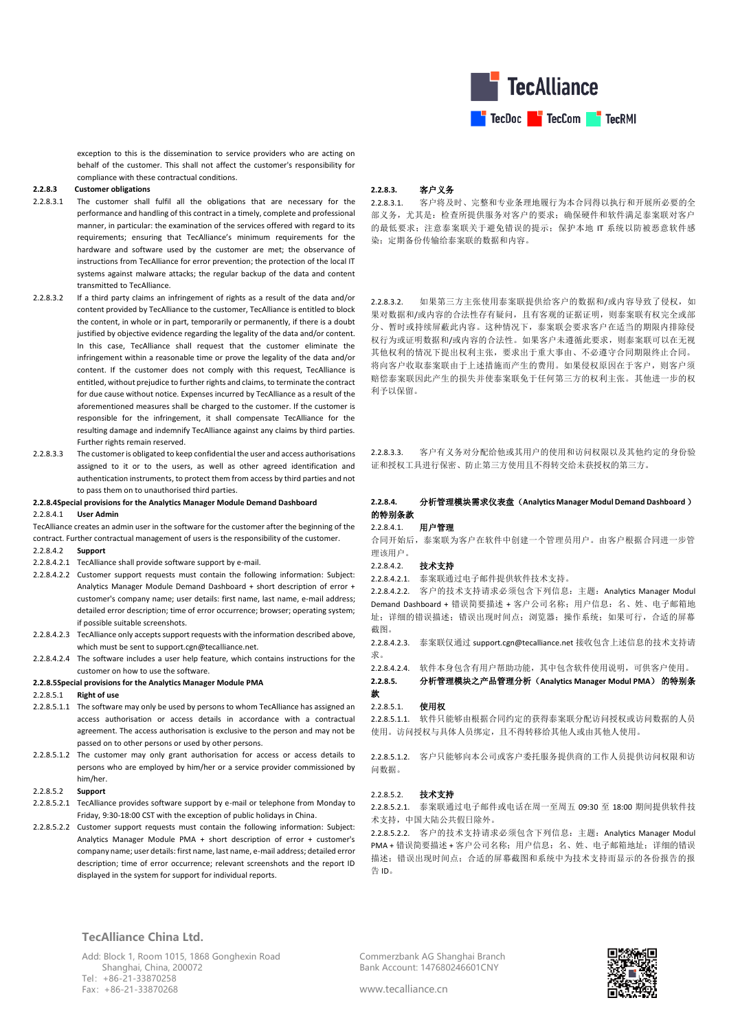

exception to this is the dissemination to service providers who are acting on behalf of the customer. This shall not affect the customer's responsibility for compliance with these contractual conditions.

### **2.2.8.3 Customer obligations**

- 2.2.8.3.1 The customer shall fulfil all the obligations that are necessary for the performance and handling of this contract in a timely, complete and professional manner, in particular: the examination of the services offered with regard to its requirements; ensuring that TecAlliance's minimum requirements for the hardware and software used by the customer are met; the observance of instructions from TecAlliance for error prevention; the protection of the local IT systems against malware attacks; the regular backup of the data and content transmitted to TecAlliance.
- 2.2.8.3.2 If a third party claims an infringement of rights as a result of the data and/or content provided by TecAlliance to the customer, TecAlliance is entitled to block the content, in whole or in part, temporarily or permanently, if there is a doubt justified by objective evidence regarding the legality of the data and/or content. In this case, TecAlliance shall request that the customer eliminate the infringement within a reasonable time or prove the legality of the data and/or content. If the customer does not comply with this request, TecAlliance is entitled, without prejudice to further rights and claims, to terminate the contract for due cause without notice. Expenses incurred by TecAlliance as a result of the aforementioned measures shall be charged to the customer. If the customer is responsible for the infringement, it shall compensate TecAlliance for the resulting damage and indemnify TecAlliance against any claims by third parties. Further rights remain reserved.
- 2.2.8.3.3 The customer is obligated to keep confidential the user and access authorisations assigned to it or to the users, as well as other agreed identification and authentication instruments, to protect them from access by third parties and not to pass them on to unauthorised third parties.

### **2.2.8.4Special provisions for the Analytics Manager Module Demand Dashboard**

#### 2.2.8.4.1 **User Admin**

TecAlliance creates an admin user in the software for the customer after the beginning of the contract. Further contractual management of users is the responsibility of the customer.

- 2.2.8.4.2 **Support**
- 2.2.8.4.2.1 TecAlliance shall provide software support by e-mail.
- 2.2.8.4.2.2 Customer support requests must contain the following information: Subject: Analytics Manager Module Demand Dashboard + short description of error + customer's company name; user details: first name, last name, e-mail address; detailed error description; time of error occurrence; browser; operating system; if possible suitable screenshots.
- 2.2.8.4.2.3 TecAlliance only accepts support requests with the information described above, which must be sent to support.cgn@tecalliance.net.
- 2.2.8.4.2.4 The software includes a user help feature, which contains instructions for the customer on how to use the software.

#### **2.2.8.5Special provisions for the Analytics Manager Module PMA**

## 2.2.8.5.1 **Right of use**

- 2.2.8.5.1.1 The software may only be used by persons to whom TecAlliance has assigned an access authorisation or access details in accordance with a contractual agreement. The access authorisation is exclusive to the person and may not be passed on to other persons or used by other persons.
- 2.2.8.5.1.2 The customer may only grant authorisation for access or access details to persons who are employed by him/her or a service provider commissioned by him/her.

#### 2.2.8.5.2 **Support**

- 2.2.8.5.2.1 TecAlliance provides software support by e-mail or telephone from Monday to Friday, 9:30-18:00 CST with the exception of public holidays in China.
- 2.2.8.5.2.2 Customer support requests must contain the following information: Subject: Analytics Manager Module PMA + short description of error + customer's company name; user details: first name, last name, e-mail address; detailed error description; time of error occurrence; relevant screenshots and the report ID displayed in the system for support for individual reports.

## **2.2.8.3.** 客户义务

2.2.8.3.1. 客户将及时、完整和专业条理地履行为本合同得以执行和开展所必要的全 部义务,尤其是:检查所提供服务对客户的要求;确保硬件和软件满足泰案联对客户 的最低要求;注意泰案联关于避免错误的提示;保护本地 IT 系统以防被恶意软件感 染;定期备份传输给泰案联的数据和内容。

2.2.8.3.2. 如果第三方主张使用泰案联提供给客户的数据和/或内容导致了侵权,如 果对数据和/或内容的合法性存有疑问,且有客观的证据证明,则泰案联有权完全或部 分、暂时或持续屏蔽此内容。这种情况下,泰案联会要求客户在适当的期限内排除侵 权行为或证明数据和/或内容的合法性。如果客户未遵循此要求,则泰案联可以在无视 其他权利的情况下提出权利主张,要求出于重大事由、不必遵守合同期限终止合同。 将向客户收取泰案联由于上述措施而产生的费用。如果侵权原因在于客户,则客户须 赔偿泰案联因此产生的损失并使泰案联免于任何第三方的权利主张。其他进一步的权 利予以保留。

2.2.8.3.3. 客户有义务对分配给他或其用户的使用和访问权限以及其他约定的身份验 证和授权工具进行保密、防止第三方使用且不得转交给未获授权的第三方。

### **2.2.8.4.** 分析管理模块需求仪表盘(**Analytics Manager Modul Demand Dashboard** ) 的特别条款

### 22841 用户管理

合同开始后,泰案联为客户在软件中创建一个管理员用户。由客户根据合同进一步管 理该用户。

#### 2.2.8.4.2. 技术支持

2.2.8.4.2.1. 泰案联通过电子邮件提供软件技术支持。

2.2.8.4.2.2. 客户的技术支持请求必须包含下列信息:主题:Analytics Manager Modul Demand Dashboard + 错误简要描述 + 客户公司名称;用户信息:名、姓、电子邮箱地 址;详细的错误描述;错误出现时间点;浏览器;操作系统;如果可行,合适的屏幕 截图。

2.2.8.4.2.3. 泰案联仅通过 support.cgn@tecalliance.net 接收包含上述信息的技术支持请 求。

2.2.8.4.2.4. 软件本身包含有用户帮助功能,其中包含软件使用说明,可供客户使用。

**2.2.8.5.** 分析管理模块之产品管理分析(**Analytics Manager Modul PMA**) 的特别条 款

#### 2.2.8.5.1. 使用权

2.2.8.5.1.1. 软件只能够由根据合同约定的获得泰案联分配访问授权或访问数据的人员 使用。访问授权与具体人员绑定,且不得转移给其他人或由其他人使用。

2.2.8.5.1.2. 客户只能够向本公司或客户委托服务提供商的工作人员提供访问权限和访 问数据。

### 2.2.8.5.2. 技术支持

2.2.8.5.2.1. 泰案联通过电子邮件或电话在周一至周五 09:30 至 18:00 期间提供软件技 术支持,中国大陆公共假日除外。

2.2.8.5.2.2. 客户的技术支持请求必须包含下列信息:主题:Analytics Manager Modul PMA + 错误简要描述 + 客户公司名称; 用户信息; 名、姓、电子邮箱地址; 详细的错误 描述;错误出现时间点;合适的屏幕截图和系统中为技术支持而显示的各份报告的报 告 ID。

**TecAlliance China Ltd.**

Add: Block 1, Room 1015, 1868 Gonghexin Road Shanghai, China, 200072 Tel:+86-21-33870258 Fax:+86-21-33870268

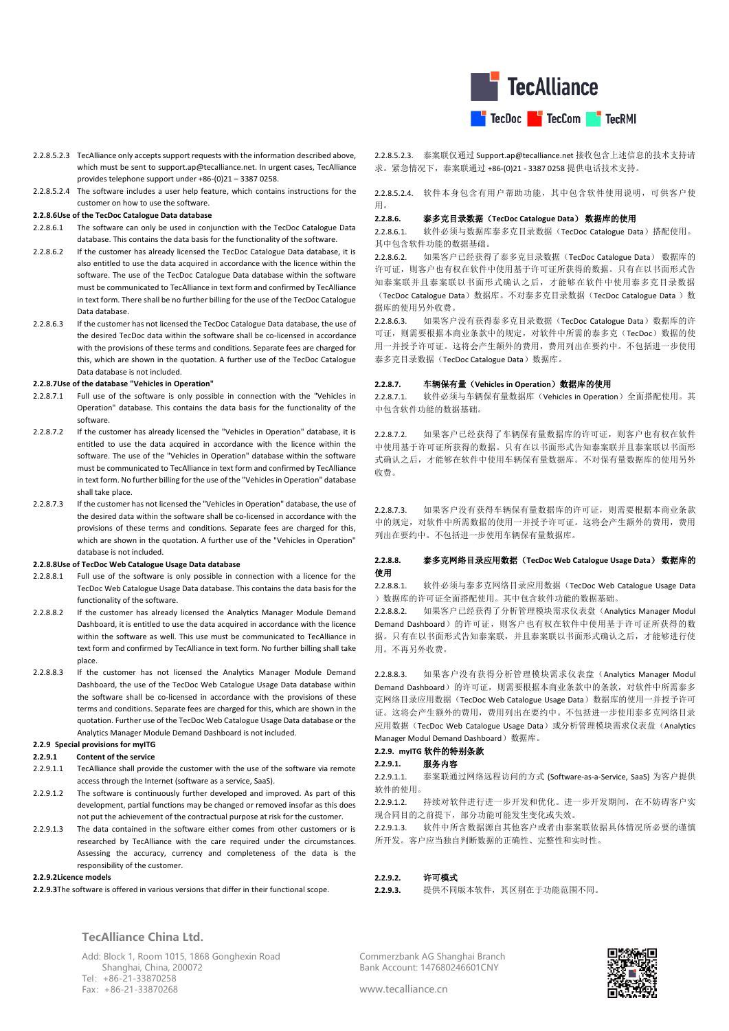

- 2.2.8.5.2.3 TecAlliance only accepts support requests with the information described above, which must be sent to [support.ap@tecalliance.net.](mailto:support.cgn@tecalliance.net) In urgent cases, TecAlliance provides telephone support under +86-(0)21 – 3387 0258.
- 2.2.8.5.2.4 The software includes a user help feature, which contains instructions for the customer on how to use the software.

#### **2.2.8.6Use of the TecDoc Catalogue Data database**

- 2.2.8.6.1 The software can only be used in conjunction with the TecDoc Catalogue Data database. This contains the data basis for the functionality of the software.
- 2.2.8.6.2 If the customer has already licensed the TecDoc Catalogue Data database, it is also entitled to use the data acquired in accordance with the licence within the software. The use of the TecDoc Catalogue Data database within the software must be communicated to TecAlliance in text form and confirmed by TecAlliance in text form. There shall be no further billing for the use of the TecDoc Catalogue Data database.
- 2.2.8.6.3 If the customer has not licensed the TecDoc Catalogue Data database, the use of the desired TecDoc data within the software shall be co-licensed in accordance with the provisions of these terms and conditions. Separate fees are charged for this, which are shown in the quotation. A further use of the TecDoc Catalogue Data database is not included.

#### **2.2.8.7Use of the database "Vehicles in Operation"**

- 2.2.8.7.1 Full use of the software is only possible in connection with the "Vehicles in Operation" database. This contains the data basis for the functionality of the software.
- 2.2.8.7.2 If the customer has already licensed the "Vehicles in Operation" database, it is entitled to use the data acquired in accordance with the licence within the software. The use of the "Vehicles in Operation" database within the software must be communicated to TecAlliance in text form and confirmed by TecAlliance in text form. No further billing for the use of the "Vehicles in Operation" database shall take place.
- 2.2.8.7.3 If the customer has not licensed the "Vehicles in Operation" database, the use of the desired data within the software shall be co-licensed in accordance with the provisions of these terms and conditions. Separate fees are charged for this, which are shown in the quotation. A further use of the "Vehicles in Operation" database is not included.

#### **2.2.8.8Use of TecDoc Web Catalogue Usage Data database**

- 2.2.8.8.1 Full use of the software is only possible in connection with a licence for the TecDoc Web Catalogue Usage Data database. This contains the data basis for the functionality of the software.
- 2.2.8.8.2 If the customer has already licensed the Analytics Manager Module Demand Dashboard, it is entitled to use the data acquired in accordance with the licence within the software as well. This use must be communicated to TecAlliance in text form and confirmed by TecAlliance in text form. No further billing shall take place.
- 2.2.8.8.3 If the customer has not licensed the Analytics Manager Module Demand Dashboard, the use of the TecDoc Web Catalogue Usage Data database within the software shall be co-licensed in accordance with the provisions of these terms and conditions. Separate fees are charged for this, which are shown in the quotation. Further use of the TecDoc Web Catalogue Usage Data database or the Analytics Manager Module Demand Dashboard is not included.

## **2.2.9 Special provisions for myITG**

### **2.2.9.1 Content of the service**

- 2.2.9.1.1 TecAlliance shall provide the customer with the use of the software via remote access through the Internet (software as a service, SaaS).
- 2.2.9.1.2 The software is continuously further developed and improved. As part of this development, partial functions may be changed or removed insofar as this does not put the achievement of the contractual purpose at risk for the customer.
- 2.2.9.1.3 The data contained in the software either comes from other customers or is researched by TecAlliance with the care required under the circumstances. Assessing the accuracy, currency and completeness of the data is the responsibility of the customer.

#### **2.2.9.2Licence models**

**2.2.9.3**The software is offered in various versions that differ in their functional scope.

2.2.8.5.2.3. [泰案联仅通过](mailto:泰案联仅通过Support.ap@tecalliance.net) [Support.ap@tecalliance.net](mailto:泰案联仅通过Support.ap@tecalliance.net) 接收包含上述信息的技术支持请 求。紧急情况下,泰案联通过 +86-(0)21 - 3387 0258 提供电话技术支持。

2.2.8.5.2.4. 软件本身包含有用户帮助功能,其中包含软件使用说明,可供客户使 用。

## **2.2.8.6.** 泰多克目录数据(**TecDoc Catalogue Data**) 数据库的使用

2.2.8.6.1. 软件必须与数据库泰多克目录数据(TecDoc Catalogue Data)搭配使用。 其中包含软件功能的数据基础。

2.2.8.6.2. 如果客户已经获得了泰多克目录数据(TecDoc Catalogue Data) 数据库的 许可证,则客户也有权在软件中使用基于许可证所获得的数据。只有在以书面形式告 知泰案联并且泰案联以书面形式确认之后,才能够在软件中使用泰多克目录数据 (TecDoc Catalogue Data)数据库。不对泰多克目录数据(TecDoc Catalogue Data)数 据库的使用另外收费。

2.2.8.6.3. 如果客户没有获得泰多克目录数据(TecDoc Catalogue Data)数据库的许 可证,则需要根据本商业条款中的规定,对软件中所需的泰多克(TecDoc)数据的使 用一并授予许可证。这将会产生额外的费用,费用列出在要约中。不包括进一步使用 泰多克目录数据(TecDoc Catalogue Data)数据库。

### **2.2.8.7.** 车辆保有量(**Vehicles in Operation**)数据库的使用

2.2.8.7.1. 软件必须与车辆保有量数据库(Vehicles in Operation)全面搭配使用。其 中包含软件功能的数据基础。

2.2.8.7.2. 如果客户已经获得了车辆保有量数据库的许可证,则客户也有权在软件 中使用基于许可证所获得的数据。只有在以书面形式告知泰案联并且泰案联以书面形 式确认之后,才能够在软件中使用车辆保有量数据库。不对保有量数据库的使用另外 收费。

2.2.8.7.3. 如果客户没有获得车辆保有量数据库的许可证,则需要根据本商业条款 中的规定,对软件中所需数据的使用一并授予许可证。这将会产生额外的费用,费用 列出在要约中。不包括进一步使用车辆保有量数据库。

## **2.2.8.8.** 泰多克网络目录应用数据(**TecDoc Web Catalogue Usage Data**) 数据库的 使用

2.2.8.8.1. 软件必须与泰多克网络目录应用数据(TecDoc Web Catalogue Usage Data )数据库的许可证全面搭配使用。其中包含软件功能的数据基础。

2.2.8.8.2. 如果客户已经获得了分析管理模块需求仪表盘(Analytics Manager Modul Demand Dashboard)的许可证,则客户也有权在软件中使用基于许可证所获得的数 据。只有在以书面形式告知泰案联,并且泰案联以书面形式确认之后,才能够进行使 用。不再另外收费。

2.2.8.8.3. 如果客户没有获得分析管理模块需求仪表盘(Analytics Manager Modul Demand Dashboard)的许可证,则需要根据本商业条款中的条款,对软件中所需泰多 克网络目录应用数据(TecDoc Web Catalogue Usage Data)数据库的使用一并授予许可 证。这将会产生额外的费用,费用列出在要约中。不包括进一步使用泰多克网络目录 应用数据(TecDoc Web Catalogue Usage Data)或分析管理模块需求仪表盘(Analytics Manager Modul Demand Dashboard)数据库。

# **2.2.9. myITG** 软件的特别条款

# **2.2.9.1.** 服务内容

2.2.9.1.1. 泰案联通过网络远程访问的方式 (Software-as-a-Service, SaaS) 为客户提供 软件的使用。

22912. 持续对软件进行进一步开发和优化。进一步开发期间,在不妨碍客户实 现合同目的之前提下,部分功能可能发生变化或失效。

2.2.9.1.3. 软件中所含数据源自其他客户或者由泰案联依据具体情况所必要的谨慎 所开发。客户应当独自判断数据的正确性、完整性和实时性。

## **2.2.9.2.** 许可模式

**2.2.9.3.** 提供不同版本软件,其区别在于功能范围不同。

Commerzbank AG Shanghai Branch Bank Account: 147680246601CNY



www.tecalliance.cn

Add: Block 1, Room 1015, 1868 Gonghexin Road Shanghai, China, 200072 Tel:+86-21-33870258

Fax:+86-21-33870268

**TecAlliance China Ltd.**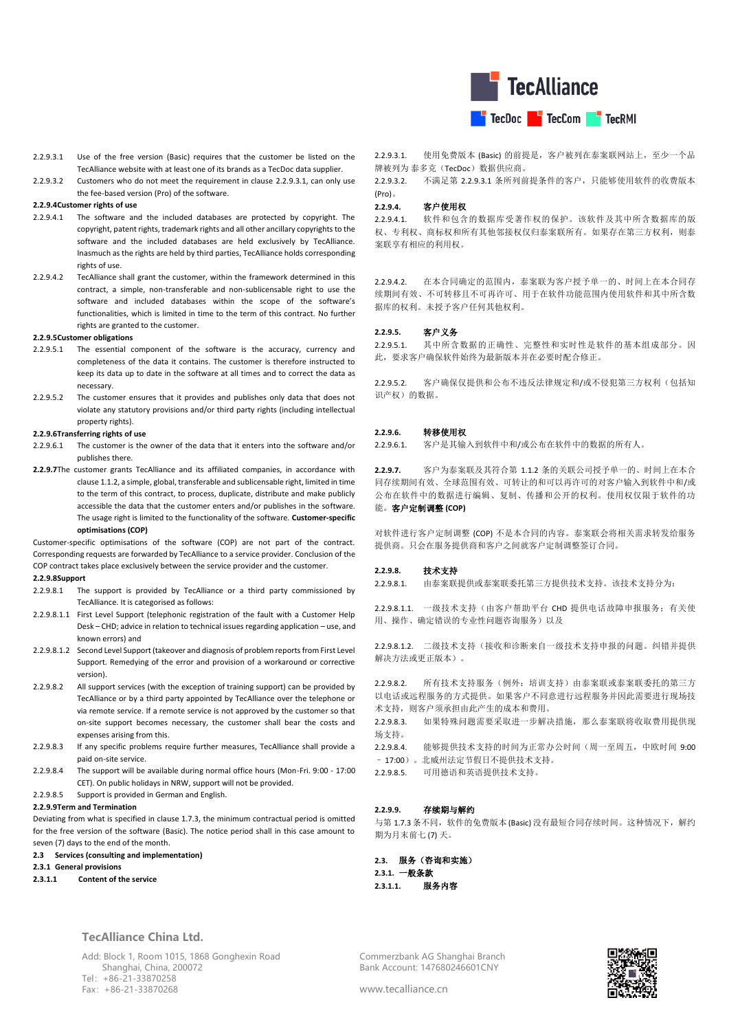

- <span id="page-16-0"></span>2.2.9.3.1 Use of the free version (Basic) requires that the customer be listed on the TecAlliance website with at least one of its brands as a TecDoc data supplier.
- 2.2.9.3.2 Customers who do not meet the requirement in clause [2.2.9.3.1,](#page-16-0) can only use the fee-based version (Pro) of the software.

## **2.2.9.4Customer rights of use**

- 2.2.9.4.1 The software and the included databases are protected by copyright. The copyright, patent rights, trademark rights and all other ancillary copyrights to the software and the included databases are held exclusively by TecAlliance. Inasmuch as the rights are held by third parties, TecAlliance holds corresponding rights of use.
- 2.2.9.4.2 TecAlliance shall grant the customer, within the framework determined in this contract, a simple, non-transferable and non-sublicensable right to use the software and included databases within the scope of the software's functionalities, which is limited in time to the term of this contract. No further rights are granted to the customer.

#### **2.2.9.5Customer obligations**

- 2.2.9.5.1 The essential component of the software is the accuracy, currency and completeness of the data it contains. The customer is therefore instructed to keep its data up to date in the software at all times and to correct the data as necessary.
- 2.2.9.5.2 The customer ensures that it provides and publishes only data that does not violate any statutory provisions and/or third party rights (including intellectual property rights).

### **2.2.9.6Transferring rights of use**

- 2.2.9.6.1 The customer is the owner of the data that it enters into the software and/or publishes there.
- **2.2.9.7**The customer grants TecAlliance and its affiliated companies, in accordance with claus[e 1.1.2,](#page-0-1) a simple, global, transferable and sublicensable right, limited in time to the term of this contract, to process, duplicate, distribute and make publicly accessible the data that the customer enters and/or publishes in the software. The usage right is limited to the functionality of the software. **Customer-specific optimisations (COP)**

Customer-specific optimisations of the software (COP) are not part of the contract. Corresponding requests are forwarded by TecAlliance to a service provider. Conclusion of the COP contract takes place exclusively between the service provider and the customer.

## **2.2.9.8Support**

- 2.2.9.8.1 The support is provided by TecAlliance or a third party commissioned by TecAlliance. It is categorised as follows:
- 2.2.9.8.1.1 First Level Support (telephonic registration of the fault with a Customer Help Desk – CHD; advice in relation to technical issues regarding application – use, and known errors) and
- 2.2.9.8.1.2 Second Level Support (takeover and diagnosis of problem reports from First Level Support. Remedying of the error and provision of a workaround or corrective version).
- 2.2.9.8.2 All support services (with the exception of training support) can be provided by TecAlliance or by a third party appointed by TecAlliance over the telephone or via remote service. If a remote service is not approved by the customer so that on-site support becomes necessary, the customer shall bear the costs and expenses arising from this.
- 2.2.9.8.3 If any specific problems require further measures, TecAlliance shall provide a paid on-site service.
- 2.2.9.8.4 The support will be available during normal office hours (Mon-Fri. 9:00 17:00 CET). On public holidays in NRW, support will not be provided.
- 2.2.9.8.5 Support is provided in German and English.

## **2.2.9.9Term and Termination**

Deviating from what is specified in claus[e 1.7.3,](#page-1-0) the minimum contractual period is omitted for the free version of the software (Basic). The notice period shall in this case amount to seven (7) days to the end of the month.

## **2.3 Services (consulting and implementation)**

## **2.3.1 General provisions**

**2.3.1.1 Content of the service**

## **TecAlliance China Ltd.**

Add: Block 1, Room 1015, 1868 Gonghexin Road Shanghai, China, 200072 Tel:+86-21-33870258 Fax:+86-21-33870268

2.2.9.3.1. 使用免费版本 (Basic) 的前提是, 客户被列在泰案联网站上, 至少一个品 牌被列为 泰多克(TecDoc)数据供应商。

2.2.9.3.2. 不满足第 [2.2.9.3.1](#page-16-0) 条所列前提条件的客户,只能够使用软件的收费版本 (Pro)。

## **2.2.9.4.** 客户使用权

2.2.9.4.1. 软件和包含的数据库受著作权的保护。该软件及其中所含数据库的版 权、专利权、商标权和所有其他邻接权仅归泰案联所有。如果存在第三方权利,则泰 案联享有相应的利用权。

2.2.9.4.2. 在本合同确定的范围内,泰案联为客户授予单一的、时间上在本合同存 续期间有效、不可转移且不可再许可、用于在软件功能范围内使用软件和其中所含数 据库的权利。未授予客户任何其他权利。

### **2.2.9.5.** 客户义务

2.2.9.5.1. 其中所含数据的正确性、完整性和实时性是软件的基本组成部分。因 此,要求客户确保软件始终为最新版本并在必要时配合修正。

2.2.9.5.2. 客户确保仅提供和公布不违反法律规定和/或不侵犯第三方权利(包括知 识产权)的数据。

### **2.2.9.6.** 转移使用权

2.2.9.6.1. 客户是其输入到软件中和/或公布在软件中的数据的所有人。

**2.2.9.7.** 客户为泰案联及其符合第 [1.1.2](#page-0-1) 条的关联公司授予单一的、时间上在本合 同存续期间有效、全球范围有效、可转让的和可以再许可的对客户输入到软件中和/或 公布在软件中的数据进行编辑、复制、传播和公开的权利。使用权仅限于软件的功 能。客户定制调整 **(COP)**

对软件进行客户定制调整 (COP) 不是本合同的内容。泰案联会将相关需求转发给服务 提供商。只会在服务提供商和客户之间就客户定制调整签订合同。

### **2.2.9.8.** 技术支持

2.2.9.8.1. 由泰案联提供或泰案联委托第三方提供技术支持。该技术支持分为:

2.2.9.8.1.1. 一级技术支持(由客户帮助平台 CHD 提供电话故障申报服务;有关使 用、操作、确定错误的专业性问题咨询服务)以及

2.2.9.8.1.2. 二级技术支持(接收和诊断来自一级技术支持申报的问题。纠错并提供 解决方法或更正版本)。

2.2.9.8.2. 所有技术支持服务(例外:培训支持)由泰案联或泰案联委托的第三方 以电话或远程服务的方式提供。如果客户不同意进行远程服务并因此需要进行现场技 术支持,则客户须承担由此产生的成本和费用。

2.2.9.8.3. 如果特殊问题需要采取进一步解决措施,那么泰案联将收取费用提供现 场支持。

2.2.9.8.4. 能够提供技术支持的时间为正常办公时间(周一至周五,中欧时间 9:00 – 17:00)。北威州法定节假日不提供技术支持。

2.2.9.8.5. 可用德语和英语提供技术支持。

### **2.2.9.9.** 存续期与解约

与第 [1.7.3](#page-1-0) 条不同, 软件的免费版本 (Basic) 没有最短合同存续时间。这种情况下, 解约 期为月末前七 (7) 天。

**2.3.** 服务(咨询和实施) **2.3.1.** 一般条款 **2.3.1.1.** 服务内容

Commerzbank AG Shanghai Branch Bank Account: 147680246601CNY

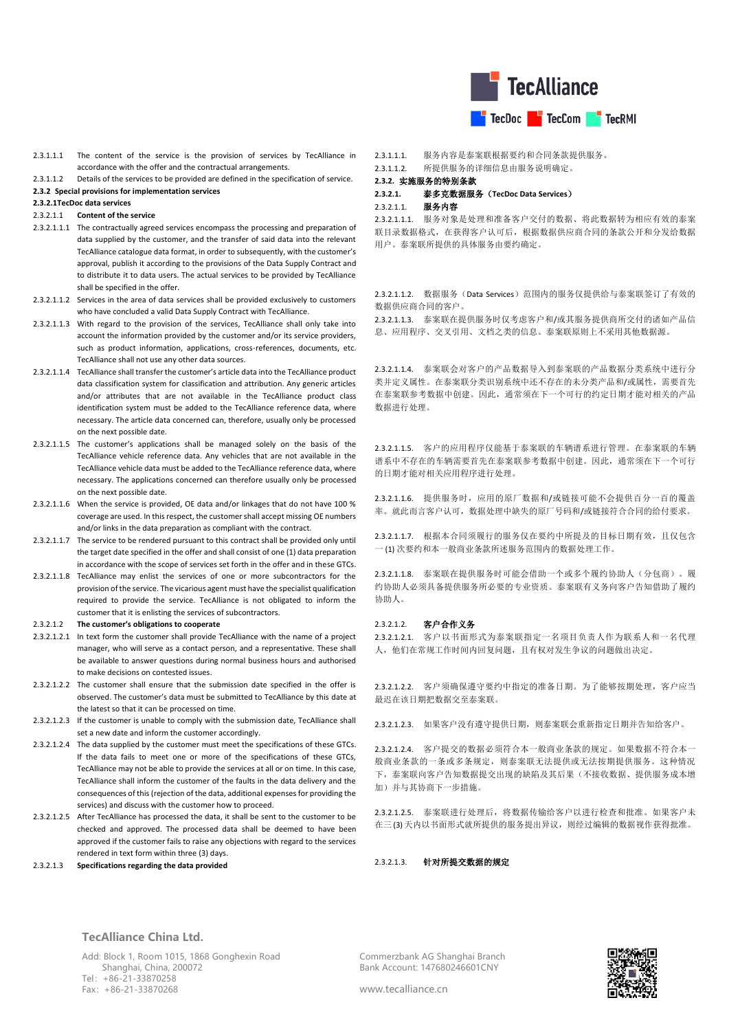

2.3.1.1.1 The content of the service is the provision of services by TecAlliance in accordance with the offer and the contractual arrangements.

# 2.3.1.1.2 Details of the services to be provided are defined in the specification of service.

**2.3.2 Special provisions for implementation services** 

# **2.3.2.1TecDoc data services**

- 2.3.2.1.1 **Content of the service**
- 2.3.2.1.1.1 The contractually agreed services encompass the processing and preparation of data supplied by the customer, and the transfer of said data into the relevant TecAlliance catalogue data format, in order to subsequently, with the customer's approval, publish it according to the provisions of the Data Supply Contract and to distribute it to data users. The actual services to be provided by TecAlliance shall be specified in the offer.
- 2.3.2.1.1.2 Services in the area of data services shall be provided exclusively to customers who have concluded a valid Data Supply Contract with TecAlliance.
- 2.3.2.1.1.3 With regard to the provision of the services, TecAlliance shall only take into account the information provided by the customer and/or its service providers, such as product information, applications, cross-references, documents, etc. TecAlliance shall not use any other data sources.
- 2.3.2.1.1.4 TecAlliance shall transfer the customer's article data into the TecAlliance product data classification system for classification and attribution. Any generic articles and/or attributes that are not available in the TecAlliance product class identification system must be added to the TecAlliance reference data, where necessary. The article data concerned can, therefore, usually only be processed on the next possible date.
- 2.3.2.1.1.5 The customer's applications shall be managed solely on the basis of the TecAlliance vehicle reference data. Any vehicles that are not available in the TecAlliance vehicle data must be added to the TecAlliance reference data, where necessary. The applications concerned can therefore usually only be processed on the next possible date.
- 2.3.2.1.1.6 When the service is provided, OE data and/or linkages that do not have 100 % coverage are used. In this respect, the customer shall accept missing OE numbers and/or links in the data preparation as compliant with the contract.
- 2.3.2.1.1.7 The service to be rendered pursuant to this contract shall be provided only until the target date specified in the offer and shall consist of one (1) data preparation in accordance with the scope of services set forth in the offer and in these GTCs.
- 2.3.2.1.1.8 TecAlliance may enlist the services of one or more subcontractors for the provision of the service. The vicarious agent must have the specialist qualification required to provide the service. TecAlliance is not obligated to inform the customer that it is enlisting the services of subcontractors.

### 2.3.2.1.2 **The customer's obligations to cooperate**

- 2.3.2.1.2.1 In text form the customer shall provide TecAlliance with the name of a project manager, who will serve as a contact person, and a representative. These shall be available to answer questions during normal business hours and authorised to make decisions on contested issues.
- 2.3.2.1.2.2 The customer shall ensure that the submission date specified in the offer is observed. The customer's data must be submitted to TecAlliance by this date at the latest so that it can be processed on time.
- 2.3.2.1.2.3 If the customer is unable to comply with the submission date, TecAlliance shall set a new date and inform the customer accordingly.
- 2.3.2.1.2.4 The data supplied by the customer must meet the specifications of these GTCs. If the data fails to meet one or more of the specifications of these GTCs, TecAlliance may not be able to provide the services at all or on time. In this case, TecAlliance shall inform the customer of the faults in the data delivery and the consequences of this (rejection of the data, additional expenses for providing the services) and discuss with the customer how to proceed.
- 2.3.2.1.2.5 After TecAlliance has processed the data, it shall be sent to the customer to be checked and approved. The processed data shall be deemed to have been approved if the customer fails to raise any objections with regard to the services rendered in text form within three (3) days.

## 2.3.2.1.3 **Specifications regarding the data provided**

2.3.1.1.1. 服务内容是泰案联根据要约和合同条款提供服务。

2.3.1.1.2. 所提供服务的详细信息由服务说明确定。

# **2.3.2.** 实施服务的特别条款

# **2.3.2.1.** 泰多克数据服务(**TecDoc Data Services**)

## 2.3.2.1.1. 服务内容

2.3.2.1.1.1. 服务对象是处理和准备客户交付的数据、将此数据转为相应有效的泰案 联目录数据格式,在获得客户认可后,根据数据供应商合同的条款公开和分发给数据 用户。泰案联所提供的具体服务由要约确定。

2.3.2.1.1.2. 数据服务(Data Services)范围内的服务仅提供给与泰案联签订了有效的 数据供应商合同的客户。

2.3.2.1.1.3. 泰案联在提供服务时仅考虑客户和/或其服务提供商所交付的诸如产品信 息、应用程序、交叉引用、文档之类的信息。泰案联原则上不采用其他数据源。

2.3.2.1.1.4. 泰案联会对客户的产品数据导入到泰案联的产品数据分类系统中进行分 类并定义属性。在泰案联分类识别系统中还不存在的未分类产品和/或属性,需要首先 在泰案联参考数据中创建。因此,通常须在下一个可行的约定日期才能对相关的产品 数据进行处理。

2.3.2.1.1.5. 客户的应用程序仅能基于泰案联的车辆谱系进行管理。在泰案联的车辆 谱系中不存在的车辆需要首先在泰案联参考数据中创建。因此,通常须在下一个可行 的日期才能对相关应用程序进行处理。

2.3.2.1.1.6. 提供服务时,应用的原厂数据和/或链接可能不会提供百分一百的覆盖 率。就此而言客户认可,数据处理中缺失的原厂号码和/或链接符合合同的给付要求。

2.3.2.1.1.7. 根据本合同须履行的服务仅在要约中所提及的目标日期有效,且仅包含 一 (1) 次要约和本一般商业条款所述服务范围内的数据处理工作。

2.3.2.1.1.8. 泰案联在提供服务时可能会借助一个或多个履约协助人(分包商)。履 约协助人必须具备提供服务所必要的专业资质。泰案联有义务向客户告知借助了履约 协助人。

#### 2.3.2.1.2. 客户合作义务

2.3.2.1.2.1. 客户以书面形式为泰案联指定一名项目负责人作为联系人和一名代理 人,他们在常规工作时间内回复问题,且有权对发生争议的问题做出决定。

2.3.2.1.2.2. 客户须确保遵守要约中指定的准备日期。为了能够按期处理,客户应当 最迟在该日期把数据交至泰案联。

2.3.2.1.2.3. 如果客户没有遵守提供日期,则泰案联会重新指定日期并告知给客户。

2.3.2.1.2.4. 客户提交的数据必须符合本一般商业条款的规定。如果数据不符合本一 般商业条款的一条或多条规定,则泰案联无法提供或无法按期提供服务。这种情况 下,泰案联向客户告知数据提交出现的缺陷及其后果(不接收数据、提供服务成本增 加)并与其协商下一步措施。

2.3.2.1.2.5. 泰案联进行处理后,将数据传输给客户以进行检查和批准。如果客户未 在三 (3) 天内以书面形式就所提供的服务提出异议,则经过编辑的数据视作获得批准。

2.3.2.1.3. 针对所提交数据的规定

### **TecAlliance China Ltd.**

Add: Block 1, Room 1015, 1868 Gonghexin Road Shanghai, China, 200072 Tel:+86-21-33870258 Fax:+86-21-33870268

Commerzbank AG Shanghai Branch Bank Account: 147680246601CNY

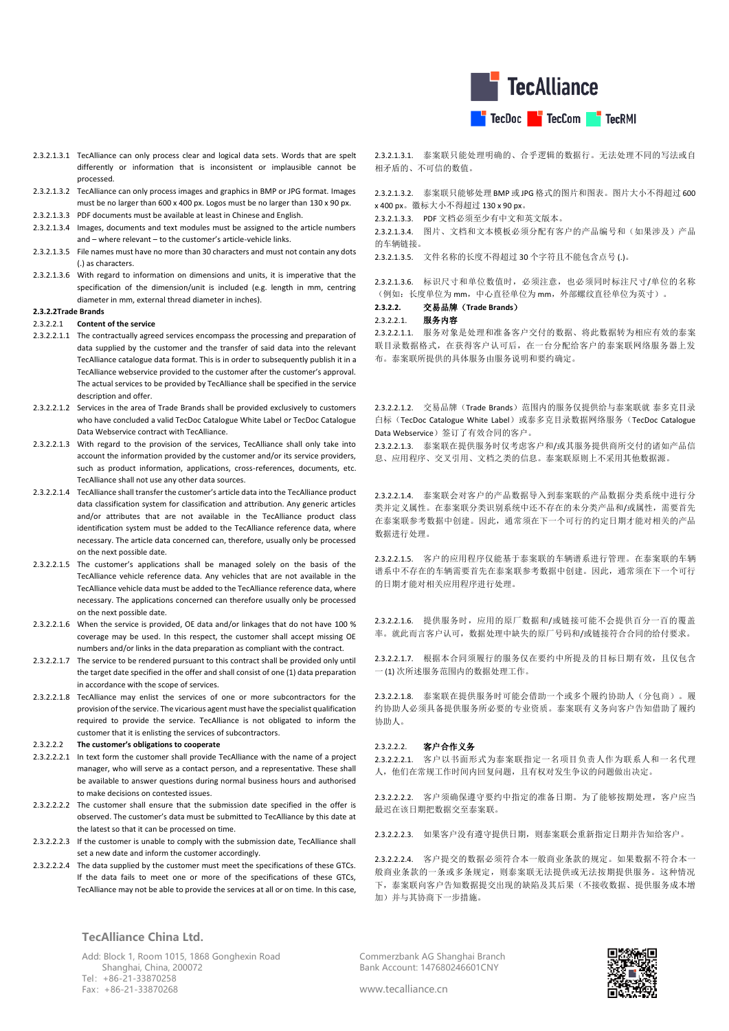

- 2.3.2.1.3.1 TecAlliance can only process clear and logical data sets. Words that are spelt differently or information that is inconsistent or implausible cannot be processed.
- 2.3.2.1.3.2 TecAlliance can only process images and graphics in BMP or JPG format. Images must be no larger than 600 x 400 px. Logos must be no larger than 130 x 90 px.
- 2.3.2.1.3.3 PDF documents must be available at least in Chinese and English.
- 2.3.2.1.3.4 Images, documents and text modules must be assigned to the article numbers and – where relevant – to the customer's article-vehicle links.
- 2.3.2.1.3.5 File names must have no more than 30 characters and must not contain any dots (.) as characters.
- 2.3.2.1.3.6 With regard to information on dimensions and units, it is imperative that the specification of the dimension/unit is included (e.g. length in mm, centring diameter in mm, external thread diameter in inches).

#### **2.3.2.2Trade Brands**

### 2.3.2.2.1 **Content of the service**

- 2.3.2.2.1.1 The contractually agreed services encompass the processing and preparation of data supplied by the customer and the transfer of said data into the relevant TecAlliance catalogue data format. This is in order to subsequently publish it in a TecAlliance webservice provided to the customer after the customer's approval. The actual services to be provided by TecAlliance shall be specified in the service description and offer.
- 2.3.2.2.1.2 Services in the area of Trade Brands shall be provided exclusively to customers who have concluded a valid TecDoc Catalogue White Label or TecDoc Catalogue Data Webservice contract with TecAlliance.
- 2.3.2.2.1.3 With regard to the provision of the services, TecAlliance shall only take into account the information provided by the customer and/or its service providers, such as product information, applications, cross-references, documents, etc. TecAlliance shall not use any other data sources.
- 2.3.2.2.1.4 TecAlliance shall transfer the customer's article data into the TecAlliance product data classification system for classification and attribution. Any generic articles and/or attributes that are not available in the TecAlliance product class identification system must be added to the TecAlliance reference data, where necessary. The article data concerned can, therefore, usually only be processed on the next possible date.
- 2.3.2.2.1.5 The customer's applications shall be managed solely on the basis of the TecAlliance vehicle reference data. Any vehicles that are not available in the TecAlliance vehicle data must be added to the TecAlliance reference data, where necessary. The applications concerned can therefore usually only be processed on the next possible date.
- 2.3.2.2.1.6 When the service is provided, OE data and/or linkages that do not have 100 % coverage may be used. In this respect, the customer shall accept missing OE numbers and/or links in the data preparation as compliant with the contract.
- 2.3.2.2.1.7 The service to be rendered pursuant to this contract shall be provided only until the target date specified in the offer and shall consist of one (1) data preparation in accordance with the scope of services.
- 2.3.2.2.1.8 TecAlliance may enlist the services of one or more subcontractors for the provision of the service. The vicarious agent must have the specialist qualification required to provide the service. TecAlliance is not obligated to inform the customer that it is enlisting the services of subcontractors.

#### 2.3.2.2.2 **The customer's obligations to cooperate**

- 2.3.2.2.2.1 In text form the customer shall provide TecAlliance with the name of a project manager, who will serve as a contact person, and a representative. These shall be available to answer questions during normal business hours and authorised to make decisions on contested issues.
- 2.3.2.2.2.2 The customer shall ensure that the submission date specified in the offer is observed. The customer's data must be submitted to TecAlliance by this date at the latest so that it can be processed on time.
- 2.3.2.2.2.3 If the customer is unable to comply with the submission date, TecAlliance shall set a new date and inform the customer accordingly.
- 2.3.2.2.2.4 The data supplied by the customer must meet the specifications of these GTCs. If the data fails to meet one or more of the specifications of these GTCs, TecAlliance may not be able to provide the services at all or on time. In this case,

2.3.2.1.3.1. 泰案联只能处理明确的、合乎逻辑的数据行。无法处理不同的写法或自 相矛盾的、不可信的数值。

2.3.2.1.3.2. 泰案联只能够处理 BMP 或 JPG 格式的图片和图表。图片大小不得超过 600 x 400 px。徽标大小不得超过 130 x 90 px。

- 2.3.2.1.3.3. PDF 文档必须至少有中文和英文版本。
- 2.3.2.1.3.4. 图片、文档和文本模板必须分配有客户的产品编号和(如果涉及)产品 的车辆链接。
- 2.3.2.1.3.5. 文件名称的长度不得超过 30 个字符且不能包含点号 (.)。

2.3.2.1.3.6. 标识尺寸和单位数值时,必须注意,也必须同时标注尺寸/单位的名称 (例如:长度单位为 mm,中心直径单位为 mm,外部螺纹直径单位为英寸)。

# **2.3.2.2.** 交易品牌(**Trade Brands**)

### 2.3.2.2.1. 服务内容

2.3.2.2.1.1. 服务对象是处理和准备客户交付的数据、将此数据转为相应有效的泰案 联目录数据格式,在获得客户认可后,在一台分配给客户的泰案联网络服务器上发 布。泰案联所提供的具体服务由服务说明和要约确定。

2.3.2.2.1.2. 交易品牌(Trade Brands)范围内的服务仅提供给与泰案联就 泰多克目录 白标(TecDoc Catalogue White Label)或泰多克目录数据网络服务(TecDoc Catalogue Data Webservice)签订了有效合同的客户。

2.3.2.2.1.3. 泰案联在提供服务时仅考虑客户和/或其服务提供商所交付的诸如产品信 息、应用程序、交叉引用、文档之类的信息。泰案联原则上不采用其他数据源。

2.3.2.2.1.4. 泰案联会对客户的产品数据导入到泰案联的产品数据分类系统中进行分 类并定义属性。在泰案联分类识别系统中还不存在的未分类产品和/或属性,需要首先 在泰案联参考数据中创建。因此,通常须在下一个可行的约定日期才能对相关的产品 数据进行处理。

2.3.2.2.1.5. 客户的应用程序仅能基于泰案联的车辆谱系进行管理。在泰案联的车辆 谱系中不存在的车辆需要首先在泰案联参考数据中创建。因此,通常须在下一个可行 的日期才能对相关应用程序进行处理。

2.3.2.2.1.6. 提供服务时,应用的原厂数据和/或链接可能不会提供百分一百的覆盖 率。就此而言客户认可,数据处理中缺失的原厂号码和/或链接符合合同的给付要求。

2.3.2.2.1.7. 根据本合同须履行的服务仅在要约中所提及的目标日期有效,且仅包含 一 (1) 次所述服务范围内的数据处理工作。

2.3.2.2.1.8. 泰案联在提供服务时可能会借助一个或多个履约协助人(分包商)。履 约协助人必须具备提供服务所必要的专业资质。泰案联有义务向客户告知借助了履约 协助人。

## 2.3.2.2.2. 客户合作义务

2.3.2.2.2.1. 客户以书面形式为泰案联指定一名项目负责人作为联系人和一名代理 人,他们在常规工作时间内回复问题,且有权对发生争议的问题做出决定。

2.3.2.2.2.2. 客户须确保遵守要约中指定的准备日期。为了能够按期处理,客户应当 最迟在该日期把数据交至泰案联。

2.3.2.2.2.3. 如果客户没有遵守提供日期,则泰案联会重新指定日期并告知给客户。

2.3.2.2.2.4. 客户提交的数据必须符合本一般商业条款的规定。如果数据不符合本一 般商业条款的一条或多条规定,则泰案联无法提供或无法按期提供服务。这种情况 下,泰案联向客户告知数据提交出现的缺陷及其后果(不接收数据、提供服务成本增 加)并与其协商下一步措施。

**TecAlliance China Ltd.**

Add: Block 1, Room 1015, 1868 Gonghexin Road Shanghai, China, 200072 Tel:+86-21-33870258 Fax:+86-21-33870268

Commerzbank AG Shanghai Branch Bank Account: 147680246601CNY

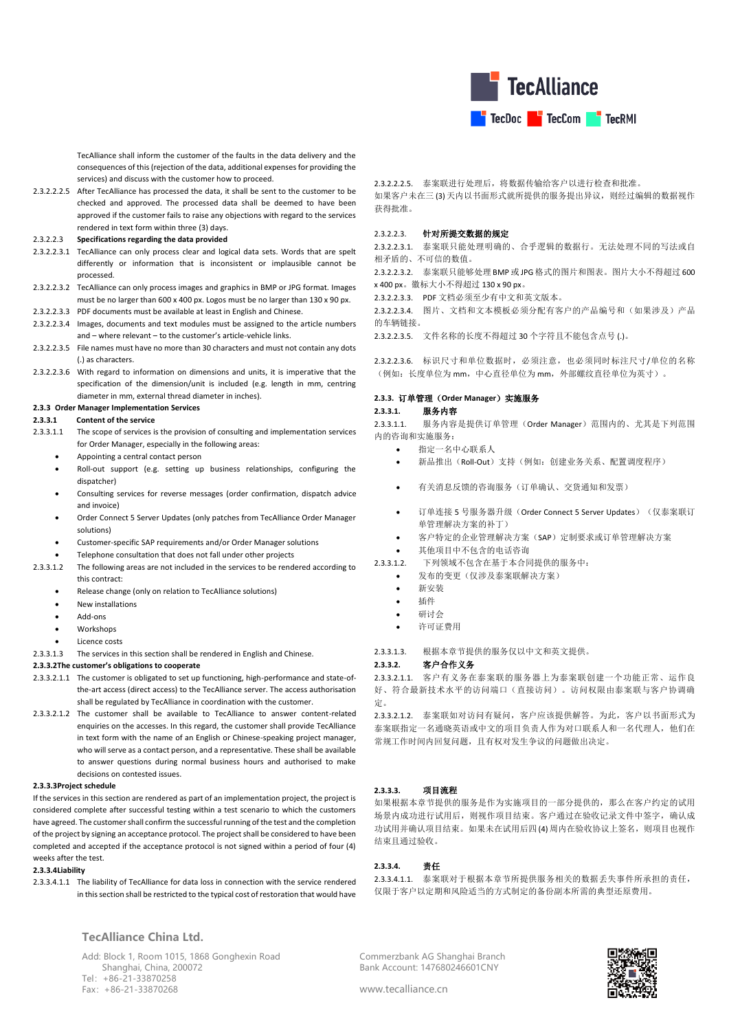

TecAlliance shall inform the customer of the faults in the data delivery and the consequences of this (rejection of the data, additional expenses for providing the services) and discuss with the customer how to proceed.

2.3.2.2.2.5 After TecAlliance has processed the data, it shall be sent to the customer to be checked and approved. The processed data shall be deemed to have been approved if the customer fails to raise any objections with regard to the services rendered in text form within three (3) days.

#### 2.3.2.2.3 **Specifications regarding the data provided**

- 2.3.2.2.3.1 TecAlliance can only process clear and logical data sets. Words that are spelt differently or information that is inconsistent or implausible cannot be processed.
- 2.3.2.2.3.2 TecAlliance can only process images and graphics in BMP or JPG format. Images must be no larger than 600 x 400 px. Logos must be no larger than 130 x 90 px.
- 2.3.2.2.3.3 PDF documents must be available at least in English and Chinese.
- 2.3.2.2.3.4 Images, documents and text modules must be assigned to the article numbers and – where relevant – to the customer's article-vehicle links.
- 2.3.2.2.3.5 File names must have no more than 30 characters and must not contain any dots (.) as characters.
- 2.3.2.2.3.6 With regard to information on dimensions and units, it is imperative that the specification of the dimension/unit is included (e.g. length in mm, centring diameter in mm, external thread diameter in inches).

#### **2.3.3 Order Manager Implementation Services**

#### **2.3.3.1 Content of the service**

- 2.3.3.1.1 The scope of services is the provision of consulting and implementation services for Order Manager, especially in the following areas:
	- Appointing a central contact person
	- Roll-out support (e.g. setting up business relationships, configuring the dispatcher)
	- Consulting services for reverse messages (order confirmation, dispatch advice and invoice)
	- Order Connect 5 Server Updates (only patches from TecAlliance Order Manager solutions)
	- Customer-specific SAP requirements and/or Order Manager solutions
	- Telephone consultation that does not fall under other projects
- 2.3.3.1.2 The following areas are not included in the services to be rendered according to this contract:
	- Release change (only on relation to TecAlliance solutions)
	- New installations
	- Add-ons
	- Workshops
	- Licence costs

2.3.3.1.3 The services in this section shall be rendered in English and Chinese.

### **2.3.3.2The customer's obligations to cooperate**

- 2.3.3.2.1.1 The customer is obligated to set up functioning, high-performance and state-ofthe-art access (direct access) to the TecAlliance server. The access authorisation shall be regulated by TecAlliance in coordination with the customer.
- 2.3.3.2.1.2 The customer shall be available to TecAlliance to answer content-related enquiries on the accesses. In this regard, the customer shall provide TecAlliance in text form with the name of an English or Chinese-speaking project manager, who will serve as a contact person, and a representative. These shall be available to answer questions during normal business hours and authorised to make decisions on contested issues.

#### **2.3.3.3Project schedule**

If the services in this section are rendered as part of an implementation project, the project is considered complete after successful testing within a test scenario to which the customers have agreed. The customer shall confirm the successful running of the test and the completion of the project by signing an acceptance protocol. The project shall be considered to have been completed and accepted if the acceptance protocol is not signed within a period of four (4) weeks after the test.

### **2.3.3.4Liability**

2.3.3.4.1.1 The liability of TecAlliance for data loss in connection with the service rendered in this section shall be restricted to the typical cost of restoration that would have

**TecAlliance China Ltd.**

Add: Block 1, Room 1015, 1868 Gonghexin Road Shanghai, China, 200072 Tel:+86-21-33870258 Fax:+86-21-33870268

2.3.2.2.2.5. 泰案联进行处理后,将数据传输给客户以进行检查和批准。 如果客户未在三 (3) 天内以书面形式就所提供的服务提出异议,则经过编辑的数据视作 获得批准。

## 2.3.2.2.3. 针对所提交数据的规定

2.3.2.2.3.1. 泰案联只能处理明确的、合乎逻辑的数据行。无法处理不同的写法或自 相矛盾的、不可信的数值。

2.3.2.2.3.2. 泰案联只能够处理 BMP 或 JPG 格式的图片和图表。图片大小不得超过 600 x 400 px。徽标大小不得超过 130 x 90 px。

2.3.2.2.3.3. PDF 文档必须至少有中文和英文版本。

2.3.2.2.3.4. 图片、文档和文本模板必须分配有客户的产品编号和(如果涉及)产品 的车辆链接。

2.3.2.2.3.5. 文件名称的长度不得超过 30 个字符且不能包含点号 (.)。

2.3.2.2.3.6. 标识尺寸和单位数据时,必须注意,也必须同时标注尺寸/单位的名称 (例如:长度单位为 mm,中心直径单位为 mm,外部螺纹直径单位为英寸)。

## **2.3.3.** 订单管理(**Order Manager**)实施服务

### **2.3.3.1.** 服务内容

2.3.3.1.1. 服务内容是提供订单管理(Order Manager)范围内的、尤其是下列范围 内的咨询和实施服务:

- 指定一名中心联系人
- 新品推出(Roll-Out)支持(例如:创建业务关系、配置调度程序)
- 有关消息反馈的咨询服务(订单确认、交货通知和发票)
- 订单连接 5 号服务器升级(Order Connect 5 Server Updates)(仅泰案联订 单管理解决方案的补丁)
- 客户特定的企业管理解决方案(SAP)定制要求或订单管理解决方案
- 其他项目中不包含的电话咨询

2.3.3.1.2. 下列领域不包含在基于本合同提供的服务中:

- 发布的变更(仅涉及泰案联解决方案)
- 新安装
- 插件
- $\bullet$  研讨会
- 许可证费用

2.3.3.1.3. 根据本章节提供的服务仅以中文和英文提供。

## **2.3.3.2.** 客户合作义务

2.3.3.2.1.1. 客户有义务在泰案联的服务器上为泰案联创建一个功能正常、运作良 好、符合最新技术水平的访问端口(直接访问)。访问权限由泰案联与客户协调确 定。

2.3.3.2.1.2. 泰案联如对访问有疑问,客户应该提供解答。为此,客户以书面形式为 泰案联指定一名通晓英语或中文的项目负责人作为对口联系人和一名代理人,他们在 常规工作时间内回复问题,且有权对发生争议的问题做出决定。

## **2.3.3.3.** 项目流程

如果根据本章节提供的服务是作为实施项目的一部分提供的,那么在客户约定的试用 场景内成功进行试用后,则视作项目结束。客户通过在验收记录文件中签字,确认成 功试用并确认项目结束。如果未在试用后四(4) 周内在验收协议上签名, 则项目也视作 结束且通过验收。

### **2.3.3.4.** 责任

2.3.3.4.1.1. 泰案联对于根据本章节所提供服务相关的数据丢失事件所承担的责任, 仅限于客户以定期和风险适当的方式制定的备份副本所需的典型还原费用。

Commerzbank AG Shanghai Branch Bank Account: 147680246601CNY